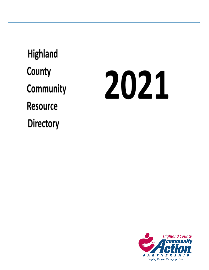**Highland** County Community **Resource Directory** 

# 2021

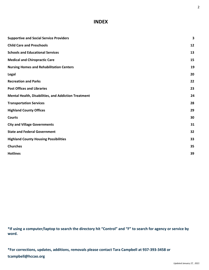## **INDEX**

| <b>Supportive and Social Service Providers</b>       | 3  |
|------------------------------------------------------|----|
| <b>Child Care and Preschools</b>                     | 12 |
| <b>Schools and Educational Services</b>              | 13 |
| <b>Medical and Chiropractic Care</b>                 | 15 |
| <b>Nursing Homes and Rehabilitation Centers</b>      | 19 |
| Legal                                                | 20 |
| <b>Recreation and Parks</b>                          | 22 |
| <b>Post Offices and Libraries</b>                    | 23 |
| Mental Health, Disabilities, and Addiction Treatment | 24 |
| <b>Transportation Services</b>                       | 28 |
| <b>Highland County Offices</b>                       | 29 |
| <b>Courts</b>                                        | 30 |
| <b>City and Village Governments</b>                  | 31 |
| <b>State and Federal Government</b>                  | 32 |
| <b>Highland County Housing Possibilities</b>         | 33 |
| <b>Churches</b>                                      | 35 |
| <b>Hotlines</b>                                      | 39 |

<span id="page-1-0"></span>**\*If using a computer/laptop to search the directory hit "Control" and "F" to search for agency or service by word.**

**\*For corrections, updates, additions, removals please contact Tara Campbell at 937-393-3458 or tcampbell@hccao.org**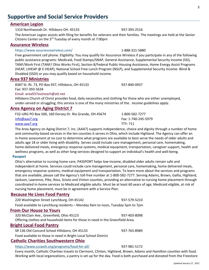## **Supportive and Social Service Providers**

#### **American Legion**

1310 Northwoods Dr. Hillsboro OH. 45133 937-393-2516

The American Legion assists with filing for benefits for veterans and their families. The meetings are held at the Senior Citizens Center on the 3<sup>rd</sup> Tuesday of every month at 7:00pm

#### **Assurance Wireless**

#### <https://www.assurancewireless.com/> 1-888-321-5880

Free government cell phone. Eligibility: You may qualify for Assurance Wireless if you participate in any of the following public assistance programs: Medicaid, Food Stamps/SNAP, General Assistance, Supplemental Security Income (SSI), TANF/Work First (TANF/ Ohio Works First), Section 8/Federal Public Housing Assistance, Home Energy Assist Programs (HEAP, LIHEAP @ E-HEAP), National School Free Lunch Program (NSLP), and Supplemental Security Income- Blind & Disabled (SSDI) or you may qualify based on household income.

#### **Area 937 Ministries**

8387 St. Rt. 73, PO Box 937, Hillsboro, OH 45133 937-840-0937 Fax: 937-393-5634 Email: [area937outreach@att.net](mailto:area937outreach@att.net) Hillsboro Church of Christ provides food, daily necessities and clothing for those who are either unemployed, under-served or struggling; this service is one of the many ministries of the. *Income guidelines apply.*

#### **Area Agency on Aging District 7**

| F32-URG PO Box 500, 160 Dorsey Dr. Rio Grande, OH 45674 | 1-800-582-7277      |
|---------------------------------------------------------|---------------------|
| info@aaa7.org                                           | Fax: 1-740-245-5979 |
| www.aaa7.org                                            | TTY: 711            |
|                                                         |                     |

The Area Agency on Aging District 7, Inc. (AAA7) supports independence, choice and dignity through a number of home and community-based services in the ten counties it serves in Ohio, which include Highland. The Agency can offer an in-home assessment at no cost to determine what programs are available to best serve the needs of older adults and adults age 18 or older living with disability. Serves could include care management, personal care, homemaking, home-delivered meals, emergency response systems, medical equipment, transportation, caregiver support, health and wellness programs, as well as other long-services designed to support an individual's health and well-being.

#### **Passport**

Ohio's alternative to nursing home care, PASSPORT helps low-income, disabled older adults remain safe and independent at home. Services could include care management, personal care, homemaking, home delivered meals, emergency response systems, medical equipment and transportation. To learn more about the services and programs that are available, please call the Agency's toll-free number at 1-800-582-7277. Serving Adams, Brown, Gallia, Highland, Jackson, Lawrence, Pike, Ross, Scioto and Vinton counties, providing an alternative to nursing home placement through coordinated in-home services to Medicaid eligible adults. Must be at least 60 years of age, Medicaid eligible, at risk of nursing home placement, must be in agreement with a Service Plan.

#### **Because He Lives Food Pantry**

| 220 Washington Street Lynchburg, OH 45142                                      | 937-579-5210 |
|--------------------------------------------------------------------------------|--------------|
| Food available to Lynchburg residents - Monday 9am to noon, Tuesday 5pm to 7pm |              |
| <b>From Our House to Yours</b>                                                 |              |
| 320 McClain Ave., Greenfield, Ohio 45123                                       | 937-403-8098 |
| Offering clothes and household items for those in need in the Greenfield Area. |              |
| <b>Bright Local Food Pantry</b>                                                |              |
| SR 136 Old Concord School Hillsboro, OH 45133                                  | 937-763-8989 |
| Food available to those in need in Bright Local School District                |              |

#### **Catholic Charities Southwestern Ohio**

<https://www.ccswoh.org/programs/food-for-all/> 937-981-5172

Every month, Catholic Charities travels to Clermont, Clinton, Highland, Brown, Adams and Hamilton counties with food. Working with local organizations, a pantry is set up for the day. Food is both purchased and donated from the Freestore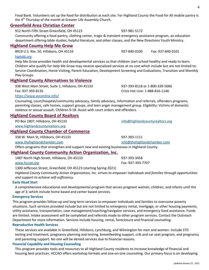Food Bank. Volunteers set up the food for distribution at each site. For Highland County the Food for All mobile pantry is the 4<sup>th</sup> Thursday of the month at Greater Life Assembly Church.

## **Greenfield Area Christian Center**

912 North Fifth Street Greenfield, OH 45123 937-981-5172

Community offering a food pantry, clothing center, tragic & transient emergency assistance program, an education department offering bible studies, helpful literature, and other classes, and the New Directions Youth Ministry.

## **Highland County Help Me Grow**

[highdd.org](http://highdd.org/)

8919 U.S. Rte. 50, Hillsboro, OH 45133 937-840-0100 Fax: 937-840-0101

Help Me Grow provides health and developmental services so that children start school healthy and ready to learn. Children who qualify for Help Me Grow may receive specialized services at no cost which include but are not limited to: Service Coordination, Home Visiting, Parent Education, Development Screening and Evaluations, Transition and Monthly Play Groups.

## **Highland County Alternatives to Violence**

938 West Main Street, Suite 1, Hillsboro, OH 45133 937-393-8118 or 1-800-339-5066 Fax: 937-393-8135 Crisis Hot Line: 1-888-816-1146

<https://www.avconline.info/>

Counseling, court/hospital/community advocacy, family advocacy, information and referrals, offenders programs, parenting classes, safe homes, support groups, and teen anger management group. Eligibility: Victims of domestic violence or sexual assault. Children 9-18. Assist with court orders and offenders.

## **Highland County Board of Realtors**

PO Box 1807, Hillsboro, OH 45133 **[info@highlandcountyrealtors.org](mailto:info@highlandcountyrealtors.org)** [www.highlandcountyrealtors.org](http://www.highlandcountyrealtors.org/)

## **Highland County Chamber of Commerce**

338 W. Main St, Hillsboro, OH 45133 937-393-1111

[www.thehighlandchamber.com](http://www.thehighlandchamber.com/) [info@thehighlandchamber.com](mailto:info@thehighlandchamber.com)

Offers programs that strengthen and support new and existing businesses in Highland County.

## **Highland County Community Action Organization, Inc.**

1487 North High Street, Hillsboro, OH 45133 937-393-3458

#### [www.hccao.org](http://www.hccao.org/) Fax: 937-393-7707

1300 Jefferson Street, Greenfield, OH 45123 (starting Spring 2021)

*Highland County Community Action Organization, Inc. strives to empower individuals and families through opportunities and support to achieve self-sufficiency.*

#### **Early Head Start**

A comprehensive educational and developmental program that serves pregnant women, children, and infants until the age of 3; which include home based and center based services.

## **Emergency Services**

This program provides follow-up and long term services to empower individuals and families to overcome poverty situations. Such services provided include but are not limited to emergency rental, mortgage, or other housing payments, utility assistance, transportation, case management/coaching/navigator services, and emergency food assistance. Funds are limited. Intake assessment will be completed and referrals made to other program services. Contact the Outreach Department for more information. Services include housing, rental, foreclosure and financial counseling.

## **Reproductive Health Services**

These services are available in Greenfield, Hillsboro, Lynchburg, and Wilmington for men and women. Include STD testing and treatment, pregnancy planning and testing, breastfeeding support, crib and car seat program, and pregnancy and parenting support. No one will be denied services due to financial reasons.

## **Financial Capability and Housing Counseling**

This program provides tools and resources to all Highland County residents to increase knowledge of financial and housing best practices. HCCAO offers workshop formats and one-on-one counseling. Our primary focus is on developing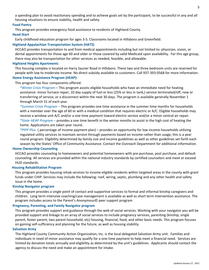a spending plan to avoid reactionary spending and to achieve goals set by the participant, to be successful in any and all housing situations to ensure stability, health and safety.

#### **Food Pantry**

This program provides emergency food assistance to residents of Highland County.

#### **Head Start**

Early childhood education program for ages 3-5. Classrooms located in Hillsboro and Greenfield.

#### **Highland Appalachian Transportation System (HATS)**

HCCAO provides transportation to and from medical appointments including but not limited to: physician, vision, or dental appointments for those age 60 and older or those covered by valid Medicaid upon availability. For this age group, there may also be transportation for other services as needed, feasible, and allowable.

#### **Highland Heights Apartments**

This housing complex is located on Harry Sauner Road in Hillsboro. There two and three bedroom units are reserved for people with low to moderate income. No direct subsidy available to customers. Call 937-393-0568 for more information.

#### **Home Energy Assistance Program (HEAP):**

This program has four components offered:

*\*Winter Crisis Program* – This program assists eligible households who have an immediate need for heating assistance: minor furnace repair, 10 day supply of fuel or less (25% or less in tank,) service terminated/off, new or transferring of service, or a disconnect within the next 30 days. The program is available generally November 1 through March 31 of each year.

*\*Summer Crisis Program –* This program provides one time assistance in the summer time months for households with a member over the age of 60 or with a medical condition that requires electric or A/C. Eligible households may receive a window unit A/C and/or a one time payment toward electric service and/or a minor central air repair. *\*State HEAP Program –* provides a one time benefit in the winter months to assist in the high cost of heating the home. Applications are taken year round.

*\*PIPP Plus*- ( percentage of income payment plan) – provides an opportunity for low income households utilizing regulated utility services to maintain service through payments based on income rather than usage, this is a year round program. Eligibility determined by family size and income guidelines as well as other guidelines set forth each season by the States' Office of Community Assistance. Contact the Outreach Department for additional information.

#### **Home Ownership Counseling**

HCCAO provides counseling to homeowners and potential homeowners with pre-purchase, post purchase, and default counseling. All services are provided within the national industry standards by certified counselors and meet or exceed HUD standards.

#### **Housing Rehabilitation Program**

This program provides housing rehab services to income eligible residents within targeted areas in the county with grant funds under CHIP. Services may include the following: roof, wiring, septic, plumbing and any other health and safety issue in the home.

#### **Kinship Navigator program**

This program provides a single point of contact and supportive services to formal and informal kinship caregivers and children. Long term intensive coaching/case management is available as well as short term intervention assistance. The program includes access to the Parent's Anonymous© peer support program

#### **Pregnancy, Parenting, and Family Navigator program**

This program provides support and guidance through the web of social services. Working with your navigator you will be provided support and linkage to an array of social services to include pregnancy services, parenting (kinship, single parent, foster parent, two parent household, etc) housing, financial, food, and other basic needs. This program focuses on gaining self-sufficiency and planning for the future, as well as housing stability.

#### **Salvation Army**

The Highland County Community Action Organization, Inc. is the local delegated Salvation Army unit. Families and individuals in need of minor assistance may qualify for a one-time payment to help meet a financial need. Services are limited by donation totals annually and eligibility as determined by the unit's guidelines. Applicants should contact the agency to discuss the need and make an appointment for intake.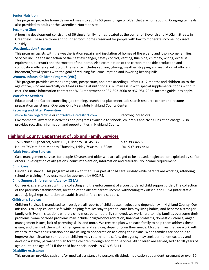#### **Senior Nutrition**

This program provides home delivered meals to adults 60 years of age or older that are homebound. Congregate meals also provided to adults at the Greenfield Nutrition site.

#### **Sycamore Glen**

A housing development consisting of 36 single family homes located at the corner of Eleventh and McClain Streets in Greenfield. These are three and four bedroom homes reserved for people with low to moderate income, no direct subsidy.

#### **Weatherization Program**

This program assists with the weatherization repairs and insulation of homes of the elderly and low-income families. Services include the inspection of the heat exchanger, safety control, venting, flue pipe, chimney, wiring, exhaust equipment, ductwork and thermostat of the home. Also examination of the carbon monoxide production and combustion efficiency will occur. The service includes caulking, glazing, weather stripping and insulation of attic and basement/crawl spaces with the goal of reducing fuel consumption and lowering heating bills.

#### **Women, Infants, Children Program (WIC)**

This program provides women (pregnant, postpartum, and breastfeeding), infants 0-12 months and children up to the age of five, who are medically certified as being at nutritional risk; may assist with special supplemental foods without cost. For more information contact the WIC Department at 937-393-3060 or 937-981-2953. Income guidelines apply.

#### **Workforce Services**

Educational and Career counseling, job training, search and placement. Job search resource center and resume preparation assistance. Operates OhioMeansJobs Highland County Center.

#### **Recycling and Litter Prevention**

[www.hccao.org/recycle](http://www.hccao.org/recycle) or [rphfsolidwastedistrict.com](http://rphfsolidwastedistrict.com/) recycle@hccao.org Environmental awareness activities and programs available to schools, children's and civic clubs at no charge. Also provides recycling information and opportunities in Highland County.

#### **Highland County Department of Job and Family Services**

| 1575 North High Street, Suite 100, Hillsboro, OH 45133   | 937-393-4278      |
|----------------------------------------------------------|-------------------|
| Hours: 7:30am-5pm Monday-Thursday, Friday 7:30am-11:30am | Fax: 937-393-4461 |

#### **Adult Protective Services**

Case management services for people 60 years and older who are alleged to be abused, neglected, or exploited by self or others. Investigation of allegations, court intervention, information and referrals. No income requirement.

#### **Child Care**

Funded Assistance: This program assists with the full or partial child care subsidy while parents are working, attending school or training. Providers must be approved by HCDJFS.

#### **Child Support Enforcement Agency (CSEA)**

Our services are to assist with the collecting and the enforcement of a court ordered child support order; The collection of the paternity establishment, location of the absent parent, income withholding tax offset, and UIFSA (Inter-stat e actions), legal representation to establish and enforce child support.

#### **Children's Services**

Children Services is mandated to investigate all reports of child abuse, neglect and dependency in Highland County. Our mission is to keep children safe while helping families stay together, learn healthy living habits, and become a stronger family unit.Even in situations where a child must be temporarily removed, we work hard to help families overcome their problems. Some of those problems may include: drug/alcohol addiction, financial problems, domestic violence, anger management issues, lack of parenting skills, and more. We create a plan with each family to help them address these issues, and then link them with other agencies and services, depending on their needs. Most families that we work with want to improve their situation and are willing to cooperate on achieving their plans. When families are not able to improve their situation so that their children may return home safely, the agency may seek permanent custody and develop a stable, permanent plan for the children through adoption services. All children are served, birth to 18 years of age or until the age of 21 if the child has special needs. 937-393-3111

#### **Disability Assistance**

This program provides cash and/or medical assistance to persons disabled, medication dependent, pregnant or over 60.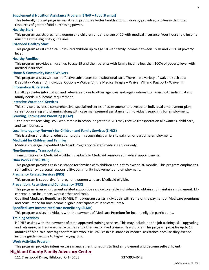#### **Supplemental Nutrition Assistance Program (SNAP – Food Stamps)**

This federally funded program assists and promotes better health and nutrition by providing families with limited resources of greater food purchasing power.

#### **Healthy Start**

This program assists pregnant women and children under the age of 20 with medical insurance. Your household income must meet the eligibility guidelines.

#### **Extended Healthy Start**

This program assists medical uninsured children up to age 18 with family income between 150% and 200% of poverty level.

#### **Healthy Families**

This program provides children up to age 19 and their parents with family income less than 100% of poverty level with medical insurance.

#### **Home & Community Based Waivers**

This program assists with cost effective substitutes for institutional care. There are a variety of waivers such as a Disability - Waiver IV, Individual Options – Waiver VI, the Medical Fragile – Waiver VII, and Passport - Waiver III.

#### **Information & Referrals**

HCDJFS provides information and referral services to other agencies and organizations that assist with individual and family needs. No income requirement.

#### **Intensive Vocational Services**

This service provides a comprehensive, specialized series of assessments to develop an individual employment plan, career counseling and planning along with case management assistance for individuals searching for employment.

#### **Learning, Earning and Parenting (LEAP)**

Teen parents receiving OWF who remain in school or get their GED may receive transportation allowances, child care, and cash bonuses.

#### **Local Interagency Network for Children and Family Services (LINCS)**

This is a drug and alcohol education program recognizing barriers to gain full or part time employment.

#### **Medicaid for Children and Families**

Medical coverage. Expedited Medicaid: Pregnancy related medical services only.

#### **Non-Emergency Transportation**

Transportation for Medicaid eligible individuals to Medicaid reimbursed medical appointments.

#### **Ohio Works First (OWF)**

This program provides cash assistance for families with children and not to exceed 36 months. This program emphasizes self-sufficiency, personal responsibility, community involvement and employment.

#### **Pregnancy Related Services (PRS)**

This program is supportive for pregnant women who are Medicaid eligible.

#### **Prevention, Retention and Contingency (PRC)**

This program is an employment related supportive service to enable individuals to obtain and maintain employment. I.Ecar repair, car insurance, work clothes and tools.

Qualified Medicare Beneficiary (QMB): This program assists individuals with some of the payment of Medicare premiums and coinsurance for low income eligible participants of Medicare Part A.

#### **Specified Low-Income Medicare Beneficiary (SLMB)**

This program assists individuals with the payment of Medicare Premium for income eligible participants.

#### **Training Services**

HCDJFS assists with the payment of state approved training services. This may include on the job training, skill upgrading and retraining, entrepreneurial activities and other customized training. Transitional: This program provides up to 12 months of Medicaid coverage for families who lose OWF cash assistance or medical assistance because they exceed income guidelines due to higher paying jobs.

#### **Work Activities Program**

This program provides intensive case management for adults to find employment and become self-sufficient.

#### **Highland County Family Advocacy Center**

111 Crestwood Drive, Hillsboro, OH 45133 937-393-4642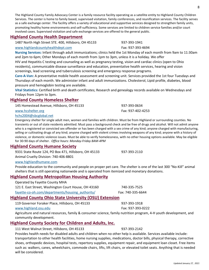8

The Highland County Family Advocacy Center is a family resource facility operating as a satellite entity to Highland County Children Services. The center is home to family based, supervised visitation, family conferences, and reunification services. The facility serves as a safe exchange center. The facility offers a variety of educational and supportive services designed to strengthen family units, promoting healthy home environments and self-sufficiency. Some services are limited to children service families and/or court involved cases. Supervised visitation and safe exchange services are offered to the general public.

#### **Highland County Health Department**

1487 North High Street STE. 400, Hillsboro, OH 45133 937-393-1941

[www.highlandcountyhealthdept.com](http://www.highlandcountyhealthdept.com/) Fax: 937-393-4694

**Nursing Services:** Infant through adult immunizations; clinics held the 1st Monday of each month from 9am to 11:30am and 2pm to 6pm; Other Mondays of each month from 1pm to 3pm, unless it is a holiday. We offer HIV and Hepatitis C testing and counseling as well as pregnancy testing, vision and cardiac clinics (open to Ohio

residents), communicable disease surveillance and education, preventative health services, hearing and vision screenings, lead screening and tuberculosis screening and emergency response programs.

**Care-A-Van:** A preventative mobile health assessment and screening unit. Services provided the 1st four Tuesdays and Thursdays of each month. We administer infant and adult immunizations. Cholesterol, Lipid profile, diabetes, blood pressure and hemoglobin testing are available.

**Vital Statistics:** Certified birth and death certificates; Research and genealogy records available on Wednesdays and Fridays from 12pm to 3pm.

## **Highland County Homeless Shelter**

145 Homestead Avenue, Hillsboro, OH 45133 937-393-0634 [www.hcshelter.org](http://www.hcshelter.org/) Fax: 937-402-4253

#### [hchs2004@sbcglobal.net](mailto:hchs2004@sbcglobal.net)

Emergency shelter for single adult men, women and families with children. Must be from Highland or surrounding counties. No transients or out of state residents admitted. Must pass a background check and be free of drugs and alcohol. Will not admit anyone who is a registered or convicted sex offender or has been charged with a sex crime of any kind; anyone charged with manufacturing, selling or cultivating drugs of any kind; anyone charged with violent crimes involving weapons of any kind; anyone with a history of violence, or domestic violence issues. Must be able to verify homelessness, with no other housing options available. May be eligible for 30-90 days of shelter. *Office hours: Monday-Friday 8AM-4PM*

#### **Highland County Humane Society**

| 9331 State Route 124, PO Box 471, Hillsboro, OH 45133 | 937-393-2110 |
|-------------------------------------------------------|--------------|
| Animal Cruelty Division: 740-406-8801                 |              |

#### [www.highlandhumane.com](http://www.highlandhumane.com/)

Provide education to the community and people on proper pet care. The shelter is one of the last 300 "No-Kill" animal shelters that is still operating nationwide and is operated from itemized and monetary donations.

## **Highland County Metropolitan Housing Authority**

Operated by Fayette County MHA 121 E. East Street, Washington Court House, OH 43160 740-335-7525 [fayette-co-oh.com/departments/housing\\_authority/](https://www.fayette-co-oh.com/departments/housing_authority/) Fax: 740-335-6644

## **Highland County Ohio State University (OSU) Extension**

119 Governor Foraker Place, Hillsboro, OH 45133 937-393-1918

[www.highland.osu.edu](http://www.highland.osu.edu/) Fax: 937-393-0222

Agriculture and natural resources, family & consumer science, family nutrition program, 4-H youth development, and community development.

## **Highland County Society for Children and Adults, Inc.**

111 West Walnut Street, Hillsboro, OH 45133 937-393-2142

Provides health needs for disabled adults and children when no other help is available. Services available include: transportation to other health facilities, home nursing supplies, medications, doctor bills, physical therapy, corrective shoes, orthopedic devices, hospital tests, repertory supplies, equipment repair, and equipment loan closet. Free items such as: walkers, canes, wheelchairs, commode chairs, lifts, lift chairs, or elevated toilet seats. Anything that is needed will be considered.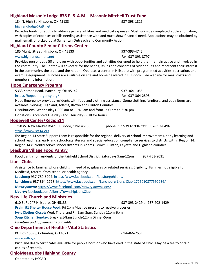#### **Highland Masonic Lodge #38 F. & A.M. - Masonic Mitchell Trust Fund**

134 N. High St, Hillsboro, OH 45133 937-393-1815 [highlandlodge@att.net](mailto:highlandlodge@att.net)

Provides funds for adults to obtain eye care, utilities and medical expenses. Must submit a completed application along with copies of expenses or bills needing assistance with and must show financial need. Applications may be obtained by mail, email, or picked up at Samaritan Outreach and Community Action.

#### **Highland County Senior Citizens Center**

185 Muntz Street, Hillsboro, OH 45133 937-393-4745

[www.highlandseniors.net](http://www.highlandseniors.net/) Fax: 937-393-8797

Provides persons age 50 and over with opportunities and activities designed to help them remain active and involved in the community. The Center will advocate for the needs, issues and concerns of older adults and represent their interest in the community, the state and the nation. Operates a center in Hillsboro with programmed activities, recreation, and exercise equipment. Lunches are available on site and home delivered in Hillsboro. See website for meal costs and membership information.

#### **Hope Emergency Program**

5333 Kernan Road, Lynchburg, OH 45142 937-364-1055

#### <https://hopeemergency.org/> Fax: 937-364-2598

Hope Emergency provides residents with food and clothing assistance. Some clothing, furniture, and baby items are available. Serving: Highland, Adams, Brown and Clinton Counties.

Distributions: Wednesdays, 900 am to 11:45 am and from 1:00 pm to 2:30 pm.

Donations: Accepted Tuesdays and Thursdays. Call for hours

#### **Hopewell Center/Region14**

5350 W. New Market Road, Hillsboro, Ohio 45133 phone: 937-393-1904 fax: 937-393-0496

#### [https://www.sst14.org](https://www.sst14.org/)

The Region 14 State Support Team is responsible for the regional delivery of school improvements, early learning and school readiness, early and school-age literacy and special education compliance services to districts within Region 14. Region 14 currently serves school districts in Adams, Brown, Clinton, Fayette and Highland counties.

#### **Leesburg Village Food Pantry**

Food pantry for residents of the Fairfield School District: Saturdays 9am-12pm 937-763-9031

#### **Lions Clubs**

Assistance to families whose child is in need of eyeglasses or related services. Eligibility: Families not eligible for Medicaid, referral from school or health agency.

**Leesburg:** 937-780-6204, <https://www.facebook.com/leesburgohlions/>

**Lynchburg:** 937-364-2728, <https://www.facebook.com/Lynchburg-Lions-Club-1725010877592236/>

**Mowrystown**: <https://www.facebook.com/MowrystownLions/>

**Liberty**: facebook.com/LibertyTownshipLionsClub

#### **New Life Church and Ministries**

#### 610 St Rt 247 Hillsboro, OH 45133 937-393-2429 or 937-402-1429

**Psalm 91 Shelter House Food:** Fri 2pm Must be present to receive groceries

**Ivy's Clothes Closet:** Wed, Thurs, and Fri 9am-3pm; Sunday 12pm-6pm

**Soup Kitchen Sunday:** Breakfast-8am Lunch-12pm Dinner-5pm

*Furniture and appliances as available*

#### **Ohio Department of Health - Vital Statistics**

PO Box 15098, Columbus, OH 43215 614-466-2531

#### [www.odh.gov](http://www.odh.gov/)

Birth and death certificates available for people born or who have died in the state of Ohio. May be a fee to obtain copies of records.

#### **OhioMeansJobs Highland County**

Operated by HCCAO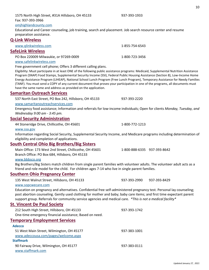| www.glinkwireless.com                                                                                                                                                                                                                                             | 1-855-754-6543               |  |  |
|-------------------------------------------------------------------------------------------------------------------------------------------------------------------------------------------------------------------------------------------------------------------|------------------------------|--|--|
| <b>SafeLink Wireless</b>                                                                                                                                                                                                                                          |                              |  |  |
| PO Box 220009 Milwaukie, or 97269-0009                                                                                                                                                                                                                            | 1-800-723-3456               |  |  |
| www.safelinkwireless.com                                                                                                                                                                                                                                          |                              |  |  |
| Free government cell phone; Offers 3 different calling plans.                                                                                                                                                                                                     |                              |  |  |
| Eligibility: Must participate in at least ONE of the following public assistance programs: Medicaid, Supplemental Nutrition Assistance                                                                                                                            |                              |  |  |
| Program (SNAP) Food Stamps, Supplemental Security Income (SSI), Federal Public Housing Assistance (Section 8), Low-Income Home                                                                                                                                    |                              |  |  |
| Energy Assistance Program (LIHEAP), National School Lunch Program (Free Lunch Program), Temporary Assistance for Needy Families<br>(TANF). You must send a COPY of any current document that proves your participation in one of the programs, all documents must |                              |  |  |
| have the same name and address as provided on the application.                                                                                                                                                                                                    |                              |  |  |
| <b>Samaritan Outreach Services</b>                                                                                                                                                                                                                                |                              |  |  |
| 537 North East Street, PO Box 242, Hillsboro, OH 45133                                                                                                                                                                                                            | 937-393-2220                 |  |  |
| www.samaritanoutreachservices.com                                                                                                                                                                                                                                 |                              |  |  |
| Emergency food assistance; Information and referrals for low-income individuals; Open for clients Monday, Tuesday, and                                                                                                                                            |                              |  |  |
| Wednesday 9:00 am - 3:45 pm.                                                                                                                                                                                                                                      |                              |  |  |
| <b>Social Security Administration</b>                                                                                                                                                                                                                             |                              |  |  |
| 44 Stoneridge Drive, Chillicothe, OH 45601                                                                                                                                                                                                                        | 1-800-772-1213               |  |  |
| www.ssa.gov                                                                                                                                                                                                                                                       |                              |  |  |
| Information regarding Social Security, Supplemental Security Income, and Medicare programs including determination of                                                                                                                                             |                              |  |  |
| eligibility and completion of applications.                                                                                                                                                                                                                       |                              |  |  |
| <b>South Central Ohio Big Brothers/Big Sisters</b>                                                                                                                                                                                                                |                              |  |  |
| Main Office: 173 West 2nd Street, Chillicothe, OH 45601                                                                                                                                                                                                           | 1-800-888-6335 937-393-8642  |  |  |
| Branch Office: PO Box 684, Hillsboro, OH 45133                                                                                                                                                                                                                    |                              |  |  |
| www.bbbsco.org                                                                                                                                                                                                                                                    |                              |  |  |
| Big Brothers/Big Sisters match children from single parent families with volunteer adults. The volunteer adult acts as a                                                                                                                                          |                              |  |  |
| friend and role model for the child. For children ages 7-14 who live in single parent families.                                                                                                                                                                   |                              |  |  |
| <b>Southern Ohio Pregnancy Center</b>                                                                                                                                                                                                                             |                              |  |  |
| 135 West Walnut Street, Hillsboro, OH 45133                                                                                                                                                                                                                       | 937-393-2990<br>937-393-8429 |  |  |
| www.sopcwecare.com                                                                                                                                                                                                                                                |                              |  |  |
| Education on pregnancy and alternatives. Confidential free self-administered pregnancy test. Personal lay counseling;<br>post abortion counseling. Gently used clothing for mother and baby; baby care items; and first time expectant parent                     |                              |  |  |
| support group. Referrals for community service agencies and medical care. *This is not a medical facility*                                                                                                                                                        |                              |  |  |
| <b>St. Vincent De Paul Society</b>                                                                                                                                                                                                                                |                              |  |  |
| 212 South High Street, Hillsboro, OH 45133                                                                                                                                                                                                                        | 937-393-1742                 |  |  |
| One-time emergency financial assistance; Based on need.                                                                                                                                                                                                           |                              |  |  |
| <b>Temporary Employment Services</b>                                                                                                                                                                                                                              |                              |  |  |
| <b>Adecco</b>                                                                                                                                                                                                                                                     |                              |  |  |
| 51 West Main Street, Wilmington, OH 45177                                                                                                                                                                                                                         | 937-383-1001                 |  |  |
| www.adeccousa.com/pages/welcome.aspx                                                                                                                                                                                                                              |                              |  |  |
| <b>Staffmark</b>                                                                                                                                                                                                                                                  |                              |  |  |
| 90 Fairway Drive, Wilmington, OH 45177                                                                                                                                                                                                                            | 937-383-0111                 |  |  |
| www.staffmark.com                                                                                                                                                                                                                                                 |                              |  |  |
|                                                                                                                                                                                                                                                                   |                              |  |  |

Educational and Career counseling, job training, search and placement. Job search resource center and resume

# **Q-Link Wireless**

preparation assistance.

Fax: 937-393-3966 omjhighlandcounty.com

1575 North High Street, #31A Hillsboro, OH 45133 937-393-1933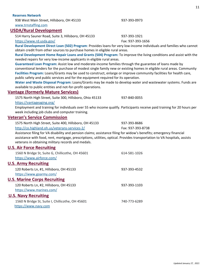#### **Reserves Network**

938 West Main Street, Hillsboro, OH 45133 937-393-0973 [www.trnstaffing.com](http://www.trnstaffing.com/)

#### **USDA/Rural Development**

514 Harry Sauner Road, Suite 3, Hillsboro, OH 45133 937-393-1921

<https://www.rd.usda.gov/> Fax: 937-393-1656

**Rural Development Direct Loan (502) Program**: Provides loans for very low-income individuals and families who cannot obtain credit from other sources to purchase homes in eligible rural areas.

**Rural Development Home Repair Loans and Grants (504) Program:** To improve the living conditions and assist with the needed repairs for very low-income applicants in eligible rural areas.

**Guaranteed Loan Program:** Assist low and moderate-income families through the guarantee of loans made by conventional lenders for the purchase of modest single family new or existing homes in eligible rural areas. Community **Facilities Program:** Loans/Grants may be used to construct, enlarge or improve community facilities for health care, public safety and public services and for the equipment required for its operation.

**Water and Waste Disposal Program:** Loans/Grants may be made to develop water and wastewater systems. Funds are available to public entities and not-for-profit operations.

#### **Vantage (formerly Mature Services)**

1575 North High Street, Suite 300, Hillsboro, Ohio 45133 937-840-0055 <https://vantageaging.org/>

Employment and training for individuals over 55 who income qualify. Participants receive paid training for 20 hours per week including job clubs and computer training.

#### **Veteran's Service Commission**

| 1575 North High Street, Suite 400, Hillsboro, OH 45133                                               | 937-393-8686      |
|------------------------------------------------------------------------------------------------------|-------------------|
| http://co.highland.oh.us/veterans-services-2/                                                        | Fax: 937-393-8738 |
| Accistance filing for VA disability and nension claims: assistance filing for widow's henefits; emer |                   |

Assistance filing for VA disability and pension claims; assistance filing for widow's benefits; emergency financial assistance with food, rent, mortgage, prescriptions, utilities, optical. Provides transportation to VA hospitals, assists veterans in obtaining military records and medals.

#### **U.S. Air Force Recruiting**

<span id="page-10-0"></span>

| 1560 N Bridge St, Suite G, Chillicothe, OH 45601<br>https://www.airforce.com/ | 614-581-1026 |
|-------------------------------------------------------------------------------|--------------|
| <b>U.S. Army Recruiting</b>                                                   |              |
| 120 Roberts Ln, #1, Hillsboro, OH 45133<br>https://www.goarmy.com/            | 937-393-4532 |
| <b>U.S. Marine Corps Recruiting</b>                                           |              |
| 120 Roberts Ln, #2, Hillsboro, OH 45133<br>https://www.marines.com/           | 937-393-1103 |
| <b>U.S. Navy Recruiting</b>                                                   |              |
| 1560 N Bridge St, Suite I, Chillicothe, OH 45601<br>https://www.navy.com      | 740-773-6289 |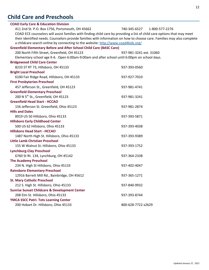# **Child Care and Preschools**

<span id="page-11-0"></span>

| <b>COAD Early Care &amp; Education Division</b>                                                                          |                                |
|--------------------------------------------------------------------------------------------------------------------------|--------------------------------|
| 411 2nd St. P.O. Box 1756, Portsmouth, OH 45662                                                                          | 740-345-6527<br>1-800-577-2276 |
| COAD ECE counselors will assist families with finding child care by providing a list of child care options that may meet |                                |
| their identified needs. Counselors provide families with information on how to choose care. Families may also complete   |                                |
| a childcare search online by connecting to the website: http://www.coad4kids.org/                                        |                                |
| <b>Greenfield Elementary Before and After School Child Care (BASC Care)</b>                                              |                                |
| 200 North Fifth Street, Greenfield, OH 45123                                                                             | 937-981-3241 ext. 31060        |
| Elementary school age K-6. Open 6:00am-9:00am and after school until 6:00pm on school days.                              |                                |
| <b>Bridgewood Child Care Center</b>                                                                                      |                                |
| 8233 ST RT 73, Hillsboro, OH 45133                                                                                       | 937-393-0560                   |
| <b>Bright Local Preschool</b>                                                                                            |                                |
| 6100 Fair Ridge Road, Hillsboro, OH 45133                                                                                | 937-927-7010                   |
| <b>First Presbyterian Preschool</b>                                                                                      |                                |
| 457 Jefferson St., Greenfield, OH 45123                                                                                  | 937-981-4741                   |
| <b>Greenfield Elementary Preschool</b>                                                                                   |                                |
| 200 N 5 <sup>th</sup> St., Greenfield, OH 45123                                                                          | 937-981-3241                   |
| <b>Greenfield Head Start - HCCAO</b>                                                                                     |                                |
| 156 Jefferson St. Greenfield, Ohio 45123                                                                                 | 937-981-2874                   |
| <b>Hills and Dales</b>                                                                                                   |                                |
| 8919 US 50 Hillsboro, Ohio 45133                                                                                         | 937-393-5871                   |
| <b>Hillsboro Early Childhood Center</b>                                                                                  |                                |
| 500 US 62 Hillsboro, Ohio 45133                                                                                          | 937-393-4038                   |
| <b>Hillsboro Head Start - HCCAO</b>                                                                                      |                                |
| 1487 North High St. Hillsboro, Ohio 45133                                                                                | 937-393-9389                   |
| <b>Little Lamb Christian Preschool</b>                                                                                   |                                |
| 155 W Walnut St. Hillsboro, Ohio 45133                                                                                   | 937-393-1752                   |
| <b>Lynchburg-Clay Preschool</b>                                                                                          |                                |
| 6760 St Rt. 134, Lynchburg, OH 45142                                                                                     | 937-364-2338                   |
| <b>The Academy Preschool</b>                                                                                             |                                |
| 234 N. High St Hillsboro, Ohio 45133                                                                                     | 937-402-4047                   |
| <b>Rainsboro Elementary Preschool</b>                                                                                    |                                |
| 12916 Barrett Mill Rd., Bainbridge, OH 45612                                                                             | 937-365-1271                   |
| <b>St. Mary Catholic Preschool</b>                                                                                       |                                |
| 212 S. High St. Hillsboro, Ohio 45133                                                                                    | 937-840-9932                   |
| <b>Sunrise Sunset Childcare &amp; Development Center</b>                                                                 |                                |
| 208 Elm St. Hillsboro, Ohio 45133                                                                                        | 937-393-8744                   |
| <b>YMCA SSCC Patri- Tots Learning Center</b>                                                                             |                                |
| 200 Hobart Dr. Hillsboro, Ohio 45133                                                                                     | 800-628-7722 x2629             |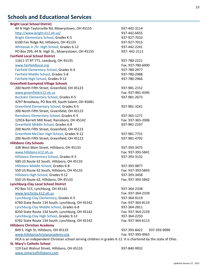# **Schools and Educational Services**

| <b>Bright Local School District</b>                                                                           |                              |
|---------------------------------------------------------------------------------------------------------------|------------------------------|
| 44 N High Taylorsville Rd, Mowrystown, OH 45155                                                               | 937-442-3114                 |
| http://www.bright.k12.oh.us/                                                                                  | 937-442-6655                 |
| <b>Bright Elementary School, Grades K-5</b>                                                                   | 937-927-7010                 |
| 6100 Fair Ridge Rd, Hillsboro, OH 45133                                                                       | 937-927-7015                 |
| Whiteoak Jr./Sr. High School, Grades 6-12                                                                     | 937-442-2241                 |
| PO Box 299, 44 N. High St., Mowrystown, OH 45155                                                              | 937-442-2111                 |
| <b>Fairfield Local School District</b>                                                                        |                              |
| 11611 ST RT 771, Leesburg, OH 45135                                                                           | 937-780-2221                 |
| www.fairfieldlocal.org                                                                                        | Fax: 937-780-6900            |
| Fairfield Elementary School, Grades K-4                                                                       | 937-780-2977                 |
| Fairfield Middle School, Grades 5-8                                                                           | 937-780-2988                 |
| Fairfield High School, Grades 9-12                                                                            | 937-780-2966                 |
| <b>Greenfield Exempted Village Schools</b>                                                                    |                              |
| 200 North Fifth Street, Greenfield, OH 45123                                                                  | 937-981-2152                 |
| www.greenfield.k12.oh.us                                                                                      | Fax: 937-981-4395            |
| <b>Buckskin Elementary School, Grades K-5</b>                                                                 | 937-981-2673                 |
| 4297 Broadway, PO Box 69, South Salem, OH 45681                                                               |                              |
| <b>Greenfield Elementary School, Grades K-5</b>                                                               | 937-981-3241                 |
| 200 North Fifth Street, Greenfield, OH 45123                                                                  |                              |
| Rainsboro Elementary School, Grades K-5                                                                       | 937-365-1271                 |
| 12916 Barrett Mill Road, Rainsboro, OH 45142                                                                  | Fax: 937-365-2006            |
| Greenfield Middle School, Grades 6-8                                                                          | 937-981-2197                 |
| 200 North Fifth Street, Greenfield, OH 45123                                                                  |                              |
| Greenfield McClain High School, Grades 9-12                                                                   | 937-981-7731                 |
| 200 North Fifth Street, Greenfield, OH 45123                                                                  | 937-981-4792                 |
| <b>Hillsboro City Schools</b>                                                                                 |                              |
| 338 West Main Street, Hillsboro, OH 45133                                                                     | 937-393-3475                 |
| www.hillsboro.k12.oh.us                                                                                       | Fax: 937-393-5841            |
| Hillsboro Elementary School, Grades K-5                                                                       | 937-393-3132                 |
| 500 US Route 62 South, Hillsboro, OH 45133                                                                    |                              |
| Hillsboro Middle School, Grades 6-8                                                                           | 937-393-9877                 |
| 550 US Route 62 South, Hillsboro, OH 45133                                                                    | Fax: 937-393-5843            |
| Hillsboro High School, Grades 9-12                                                                            | 937-393-3458                 |
|                                                                                                               | Fax: 937-393-5842            |
| 550 US Route 62, Hillsboro, OH 45133<br><b>Lynchburg-Clay Local School District</b>                           |                              |
|                                                                                                               | 937-364-2338                 |
| PO Box 515, Lynchburg, OH 45142                                                                               | Fax: 937-364-2339            |
| www.lynchclay.k12.oh.us                                                                                       |                              |
| Lynchburg-Clay Elementary, Grades K-5                                                                         | 937-364-9119                 |
| 6760 State Route 134 South, Lynchburg, OH 45142                                                               | Fax: 937-364-8119            |
| Lynchburg-Clay Middle School, Grades 6-8                                                                      | 937-364-2811                 |
| 8250 State Route 134 South, Lynchburg, OH 45142                                                               | Fax: 937-364-2159            |
| Lynchburg-Clay High School, Grades 9-12                                                                       | 937-364-2250                 |
| 6762 State Route 134 South, Lynchburg, OH 45142                                                               | Fax: 937-364-6113            |
| <b>Hillsboro Christian Academy</b>                                                                            |                              |
| 849 S. High St, Hillsboro, OH 45133                                                                           | 937-393-8422<br>937-393-9090 |
| www.hillsborochristanacademy.org                                                                              | Fax: 937-393-4963            |
| HCA is an independent Christian school serving children in grades K-12. It is chartered by the state of Ohio. |                              |
| <b>St. Mary's Catholic School</b>                                                                             |                              |
| 119 East Walnut Street, Hillsboro, OH 45133                                                                   | 937-840-9932                 |
| www.stmaryofhillsboro.com                                                                                     |                              |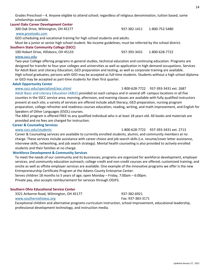Grades Preschool – 4. Anyone eligible to attend school; regardless of religious denomination, tuition based, some scholarships available.

#### **Laurel Oaks Career Development Center**

300 Oak Drive, Wilmington, OH 45177 937-382-1411 1-800-752-5480

#### [www.greatoaks.com](http://www.greatoaks.com/)

[www.sscc.edu](http://www.sscc.edu/)

GED scheduling and vocational training for high school students and adults.

Must be a junior or senior high school student. No income guidelines; must be referred by the school district.

#### **Southern State Community College (SSCC)**

100 Hobart Drive, Hillsboro, OH 45133 937-393-3431 1-800-628-7722

Two-year College offering programs in general studies, technical education and continuing education. Programs are designed for transfer to four-year colleges and universities as well as application in high demand occupations. Services for Adult Basic and Literacy Education, GED preparation and testing, as well as corporate training are available. High school graduates; persons with GED may be accepted as full-time students. Students without a high school diploma or GED may be accepted as part-time students for their first quarter.

#### **Adult Opportunity Center**

#### [www.sscc.edu/specialized/aoc.shtml](http://www.sscc.edu/specialized/aoc.shtml) 1-800-628-7722 937-393-3431 ext. 2687

Adult Basic and Literacy Education (ABLE) provided on each campus and in several off- campus locations in all five counties in the SSCC service area; morning, afternoon, and evening classes are available with fully qualified instructors present at each site; a variety of services are offered include adult literacy, GED preparation, nursing program preparation, college refresher and readiness courses education, reading, writing, and math improvement, and English for Speakers of Other Languages (ESOL) courses.

The ABLE program is offered FREE to any qualified individual who is at least 18 years old. All books and materials are provided and no fees are charged for instruction.

#### **Career & Counseling Services**

Career & Counseling services are available to currently enrolled students, alumni, and community members at no charge. These services include assistance with career choice and job search skills (i.e. resume/cover letter assistance, interview skills, networking, and job search strategy). Mental health counseling is also provided to actively enrolled students and their families at no charge.

#### **Workforce Development & Community Services**

To meet the needs of our community and its businesses; programs are organized for workforce development, employer services, and community education outreach; college credit and non-credit courses are offered; customized training; and onsite as well as offsite employer services are available. One example of the innovative programs we offer is the new Entrepreneurship Certificate Program at the Adams County Enterprise Center.

Serves children 18 months to 5 years of age; open Monday – Friday, 7:00am – 6:00pm. Private pay, also accepts reimbursement for services through ODJFS.

#### **Southern Ohio Educational Service Center**

3321 Airborne Road, Wilmington, OH 45177 937-382-6921

[www.southernohioesc.org](http://www.southernohioesc.org/) Fax: 937-383-3171

Exceptional children and alternative programs curriculum instruction, school improvement, educational leadership, professional development technology, and instruction media.

#### [www.sscc.edu/students](http://www.sscc.edu/students) 1-800-628-7722 937-393-3431 ext. 2713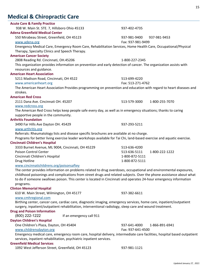# <span id="page-14-0"></span>**Medical & Chiropractic Care**

| <b>Acute Care &amp; Family Practice</b>                                                                                                                                 |                                  |  |
|-------------------------------------------------------------------------------------------------------------------------------------------------------------------------|----------------------------------|--|
| 938 W. Main St. STE. 7, Hillsboro Ohio 45133                                                                                                                            | 937-402-4735                     |  |
| <b>Adena Greenfield Medical Center</b>                                                                                                                                  |                                  |  |
| 550 Mirabeau Street, Greenfield, OH 45123                                                                                                                               | 937-981-9400 937-981-9453        |  |
| www.adena.org                                                                                                                                                           | Fax: 937-981-9499                |  |
| Emergency Medical Care, Emergency Room Care, Rehabilitation Services, Home Health Care, Occupational/Physical                                                           |                                  |  |
| Therapy, Specialty Clinics and Speech Therapy.                                                                                                                          |                                  |  |
| <b>American Cancer Society</b>                                                                                                                                          |                                  |  |
| 2808 Reading Rd. Cincinnati, OH.45206                                                                                                                                   | 1-800-227-2345                   |  |
| This organization provides information on prevention and early detection of cancer. The organization assists with                                                       |                                  |  |
| resources and guidance.                                                                                                                                                 |                                  |  |
| <b>American Heart Association</b>                                                                                                                                       |                                  |  |
| 5211 Madison Road, Cincinnati, OH 4522                                                                                                                                  | 513-699-4220                     |  |
| www.americanheart.org                                                                                                                                                   | Fax: 513-271-4762                |  |
| The American Heart Association Provides programming on prevention and education with regard to heart diseases and                                                       |                                  |  |
| strokes.                                                                                                                                                                |                                  |  |
| <b>American Red Cross</b>                                                                                                                                               |                                  |  |
| 2111 Dana Ave. Cincinnati OH. 45207                                                                                                                                     | 513-579-3000<br>1-800-255-7070   |  |
| www.redcross.org                                                                                                                                                        |                                  |  |
| The American Red Cross helps keep people safe every day, as well as in emergency situations; thanks to caring                                                           |                                  |  |
| supportive people in the community.                                                                                                                                     |                                  |  |
| <b>Arthritis Foundation</b>                                                                                                                                             |                                  |  |
| 3490 Far Hills Ave Dayton OH. 45429                                                                                                                                     | 937-293-5211                     |  |
| www.arthritis.org                                                                                                                                                       |                                  |  |
| Referrals: Rheumatology lists and disease specific brochures are available at no charge.                                                                                |                                  |  |
| Programs for better living exercise leader workshops available for Tai Chi, land-based exercise and aquatic exercise.                                                   |                                  |  |
| <b>Cincinnati Children's Hospital</b>                                                                                                                                   |                                  |  |
| 3333 Burnet Avenue, ML 9004, Cincinnati, OH 45229                                                                                                                       | 513-636-4200                     |  |
| Poison Control Center                                                                                                                                                   | 513-636-5111<br>1-800-222-1222   |  |
| Cincinnati Children's Hospital                                                                                                                                          | 1-800-872-5111<br>1-800-872-5111 |  |
| Drug Hotline                                                                                                                                                            |                                  |  |
| www.cincinnatichildrens.org/poisonsaftey                                                                                                                                |                                  |  |
| The center provides information on problems related to drug overdoses, occupational and environmental exposures,                                                        |                                  |  |
| childhood poisonings and complications from street drugs and related subjects. Over the phone assistance about what                                                     |                                  |  |
| to do if someone swallows poison. This center is located in Cincinnati and operates 24-hour emergency information                                                       |                                  |  |
| programs.                                                                                                                                                               |                                  |  |
| <b>Clinton Memorial Hospital</b>                                                                                                                                        |                                  |  |
| 610 W. Main Street, Wilmington, OH 45177                                                                                                                                | 937-382-6611                     |  |
| www.cmhregional.com                                                                                                                                                     |                                  |  |
| Birthing center, cancer care, cardiac care, diagnostic imaging, emergency services, home care, inpatient/outpatient                                                     |                                  |  |
| surgery, inpatient/outpatient rehabilitation, interventional radiology, sleep care and wound treatment.                                                                 |                                  |  |
| <b>Drug and Poison Information</b>                                                                                                                                      |                                  |  |
| (800) 222-1222<br>If an emergency call 911                                                                                                                              |                                  |  |
| <b>Dayton Children's Hospital</b>                                                                                                                                       |                                  |  |
| One Children's Plaza, Dayton, OH 45404                                                                                                                                  | 937-641-4000<br>1-866-891-6941   |  |
| www.childrensdayton.org<br>Fax: 937-641-4500<br>Emergency medical care, emergency room care, hospital delivery, intermediate care facilities, hospital based outpatient |                                  |  |
| services, inpatient rehabilitation, psychiatric inpatient services.                                                                                                     |                                  |  |
| <b>Greenfield Medical Services</b>                                                                                                                                      |                                  |  |
| 1092 West Jefferson Street, Greenfield, OH 45123                                                                                                                        | 937-981-1121                     |  |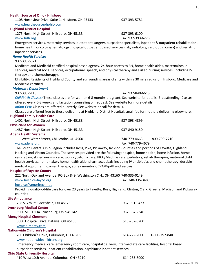|  |  |  | <b>Health Source of Ohio - Hillsboro</b> |
|--|--|--|------------------------------------------|
|--|--|--|------------------------------------------|

1108 Northview Drive, Suite 1, Hillsboro, OH 45133 937-393-5781 [www.healthsourceohohio.com](http://www.healthsourceohohio.com/)

#### **Highland District Hospital**

1275 North High Street, Hillsboro, OH 45133 937-393-6100

#### [www.hdh.org](http://www.hdh.org/) Fax: 937-393-6278

Emergency services, maternity services, outpatient surgery, outpatient specialists, inpatient & outpatient rehabilitation, home health, oncology/hematology, hospital outpatient based services (lab, radiology, cardiopulmonary) and geriatric inpatient services.

#### *Home Health Services*

#### 937-393-6371

Medicare and Medicaid certified hospital based agency. 24-hour access to RN, home health aides, maternal/child services, medical social services, occupational, speech, and physical therapy and skilled nursing services (including IV therapy and chemotherapy).

Eligibility: Residents of Highland County and surrounding areas clients within a 30 mile radius of Hillsboro. Medicare and Medicaid certified.

#### *Maternity Department*

937-393-6118 Fax: 937-840-6618

*Childbirth Classes:* These classes are for women 6-8 months pregnant. See website for details. Breastfeeding: Classes offered every 6-8 weeks and lactation counseling on request. See website for more details.

*Infant CPR:* Classes are offered quarterly. See website or call for details.

Classes are offered free to those delivering at Highland District Hospital; small fee for mothers delivering elsewhere. **Highland Family Health Care**

| 1402 North High Street, Hillsboro, OH 45133  | 937-393-4899      |                |
|----------------------------------------------|-------------------|----------------|
| <b>Physicians for Women</b>                  |                   |                |
| 1487 North High Street, Hillsboro, OH 45133  | 937-840-9150      |                |
| <b>Adena Health Systems</b>                  |                   |                |
| 111 West Water Street, Chillicothe, OH 45601 | 740-779-4663      | 1-800-799-7710 |
| www.adena.org                                | Fax: 740-779-4679 |                |

The South Central Ohio Region includes Ross, Pike, Pickaway, Jackson Counties and portions of Fayette, Highland, Hocking and Vinton Counties. The services provided are the following: hospice, home health, home infusion, home respiratory, skilled nursing care, wound/ostomy care, PICC/Medline care, pediatrics, rehab therapies, maternal child health services, homemaker, home health aide, pharmaceuticals including IV antibiotics and chemotherapy, durable medical equipment, oxygen therapy, apnea monitors, CPA/BipAP and aerosis.

#### **Hospice of Fayette County**

222 North Oakland Avenue, PO Box 849, Washington C.H., OH 43160 740-335-0149

#### [www.hospice-fayco.org](http://www.hospice-fayco.org/) Fax: 740-335-3489

#### [hospice@ameritech.net](mailto:hospice@ameritech.net)

Providing quality-of-life care for over 23 years to Fayette, Ross, Highland, Clinton, Clark, Greene, Madison and Pickaway counties

#### **Life Ambulance**

| 758 S. 7th St. Greenfield, OH 45123      | 937-981-5433 |                |
|------------------------------------------|--------------|----------------|
| <b>Lynchburg Medical Center</b>          |              |                |
| 8900 ST RT 134, Lynchburg, Ohio 45142    | 937-364-2346 |                |
| <b>Mercy Hospital Clermont</b>           |              |                |
| 3000 Hospital Drive, Batavia, OH 45103   | 513-732-8200 |                |
| www.e-mercy.com                          |              |                |
| <b>Nationwide Children's Hospital</b>    |              |                |
| 700 Children's Drive, Columbus, OH 43205 | 614-722-2000 | 1-800-792-8401 |
| www.nationwidechildrens.org              |              |                |

Emergency medical care, emergency room care, hospital delivery, intermediate care facilities, hospital based outpatient services, inpatient rehabilitation, psychiatric inpatient services.

#### **Ohio State University Hospital**

410 West 10th Avenue, Columbus, OH 43210 614-283-8000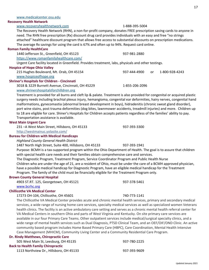# [www.recoveryhealthnetwork.com](http://www.recoveryhealthnetwork.com/) 1-888-395-5004 The Recovery Health Network (RHN), a non-for-profit company, donates FREE prescription saving cards to anyone in 231 –A West Main Street, Hillsboro, OH 45133 937-393-3300 4903 ST.RT. 125, Georgetown, OH 45121 937-378-5461

#### [www.medicalcenter.osu.edu](http://www.medicalcenter.osu.edu/)

#### **Recovery Health Network**

need. The RHN free prescription (Rx) discount drug card provides individuals with an easy and free "no strings attached" healthcare discount program that allows free access to substantial discounts on prescription medications. The average Rx savings for using the card is 67% and often up to 94%. Request card online. **Roman Family HealthCare** 1440 Jefferson St., Greenfield, OH 45123 937-981-2880 <https://www.romanfamilyhealthcare.com/> Urgent Care facility located in Greenfield. Provides treatment, labs, physicals and other testings. **Hospice of Hope Ohio Valley** 215 Hughes Boulevard, Mt. Orab, OH 45154 937-444-4900 or 1-800-928-4243 [www.hospiceofhope.org](http://www.hospiceofhope.org/) **Shriner's Hospitals for Children - Cincinnati** 3018 & 3229 Burnett Avenue, Cincinnati, OH 45229 1-855-206-2096

#### [www.shrinershospitalsforchilldren.org](http://www.shrinershospitalsforchilldren.org/)

Treatment is provided for all burns and cleft lip & palate. Treatment is also provided for congenital or acquired plastic surgery needs including brachial plexus injury, hemangioma, congenital ear deformities, hairy nerves, congenital hand malformations, gynecomastia (abnormal breast development in boys), hidradenitis (chronic sweat gland disorder), port wine stains, post trauma deformities (dog bites, lawnmower accidents, treadmill injuries) and more. Children up to 18 are eligible for care. Shiner's Hospitals for Children accepts patients regardless of the families' ability to pay. Transportation assistance is available.

#### **West Main Urgent Care**

<http://westmainuc.yolasite.com/>

#### **Bureau for Children with Medical Handicaps**

*Highland County General Health District*

1487 North High Street, Suite 400, Hillsboro, OH 45133 937-393-1941

Purpose: BCMH is a tax-supported program within the Ohio Department of Health. The goal is to assure that children with special health care needs and their families obtain comprehensive care and services.

The Diagnostic Program, Treatment Program, Service Coordinator Program and Public Health Nurse Children who are under the age of 21, are a resident of Ohio, must be under the care of a BCMH approved physician, have a possible medical handicap for Diagnostic Program, have an eligible medical handicap for the Treatment Program. The family of the child must be financially eligible for the Treatment Program only.

#### **Brown County General Hospital**

[www.bcrhc.org](http://www.bcrhc.org/)

#### **Chillicothe VA Medical Center**

#### 17273 OH-104, Chillicothe, OH 45601 740-773-1141

The Chillicothe VA Medical Center provides acute and chronic mental health services, primary and secondary medical services, a wide range of nursing home care services, specialty medical services as well as specialized women Veterans health clinics. The facility is an active ambulatory care setting and serves as a chronic mental health referral center for VA Medical Centers in southern Ohio and parts of West Virginia and Kentucky. On site primary care services are available in our four Primary Care Teams. Other outpatient services include medical/surgical specialty clinics, and a wide range of mental health services such as Dual Diagnosis, PTSD Clinical Team, and an OEF/OIF/OND Clinic. An active community based program includes Home Based Primary Care (HBPC), Care Coordination, Mental Health Intensive Case Management (MHICM), Community Living Center and a Community Residential Care Program.

| Dr. Rindy Matthews, Chiropractic Care     |              |
|-------------------------------------------|--------------|
| 505 West Main St, Leesburg, OH 45135      | 937-780-2225 |
| <b>Back to Health Family Chiropractic</b> |              |
| 1113 Northview Dr., Hillsboro, OH 45133   | 937-393-9609 |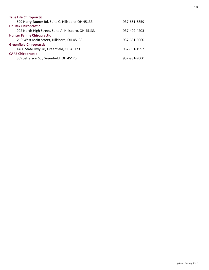<span id="page-17-0"></span>

| <b>True Life Chiropractic</b>                       |              |
|-----------------------------------------------------|--------------|
| 599 Harry Sauner Rd, Suite C, Hillsboro, OH 45133   | 937-661-6859 |
| <b>Dr. Rex Chiropractic</b>                         |              |
| 902 North High Street, Suite A, Hillsboro, OH 45133 | 937-402-4203 |
| <b>Hunter Family Chiropractic</b>                   |              |
| 219 West Main Street, Hillsboro, OH 45133           | 937-661-6060 |
| <b>Greenfield Chiropractic</b>                      |              |
| 1460 State Hwy 28, Greenfield, OH 45123             | 937-981-1992 |
| <b>CARE Chiropractic</b>                            |              |
| 309 Jefferson St., Greenfield, OH 45123             | 937-981-9000 |
|                                                     |              |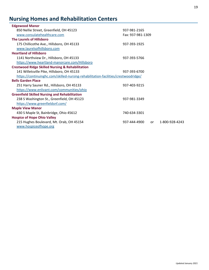# **Nursing Homes and Rehabilitation Centers**

| <b>Edgewood Manor</b>                                                              |                   |    |                |
|------------------------------------------------------------------------------------|-------------------|----|----------------|
| 850 Nellie Street, Greenfield, OH 45123                                            | 937-981-2165      |    |                |
| www.consulatehealthcare.com                                                        | Fax: 937-981-1309 |    |                |
| <b>The Laurels of Hillsboro</b>                                                    |                   |    |                |
| 175 Chillicothe Ave., Hillsboro, OH 45133                                          | 937-393-1925      |    |                |
| www.laurelsofhillsboro.com                                                         |                   |    |                |
| <b>Heartland of Hillsboro</b>                                                      |                   |    |                |
| 1141 Northview Dr., Hillsboro, OH 45133                                            | 937-393-5766      |    |                |
| https://www.heartland-manorcare.com/Hillsboro                                      |                   |    |                |
| <b>Crestwood Ridge Skilled Nursing &amp; Rehabilitation</b>                        |                   |    |                |
| 141 Willetsville Pike, Hillsboro, OH 45133                                         | 937-393-6700      |    |                |
| https://continuinghc.com/skilled-nursing-rehabilitation-facilities/crestwoodridge/ |                   |    |                |
| <b>Bells Garden Place</b>                                                          |                   |    |                |
| 251 Harry Sauner Rd., Hillsboro, OH 45133                                          | 937-403-9215      |    |                |
| https://www.enlivant.com/communities/ohio                                          |                   |    |                |
| <b>Greenfield Skilled Nursing and Rehabilitation</b>                               |                   |    |                |
| 238 S Washington St., Greenfield, OH 45123                                         | 937-981-3349      |    |                |
| https://www.greenfieldsnf.com/                                                     |                   |    |                |
| <b>Maple View Manor</b>                                                            |                   |    |                |
| 430 S Maple St, Bainbridge, Ohio 45612                                             | 740-634-3301      |    |                |
| <b>Hospice of Hope Ohio Valley</b>                                                 |                   |    |                |
| 215 Hughes Boulevard, Mt. Orab, OH 45154<br>www.hospiceofhope.org                  | 937-444-4900      | or | 1-800-928-4243 |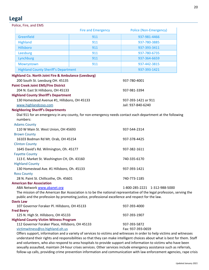## **Legal**

|                                            | Police, Fire, and EMS                                                                                                |                           |                                                                                                                       |  |
|--------------------------------------------|----------------------------------------------------------------------------------------------------------------------|---------------------------|-----------------------------------------------------------------------------------------------------------------------|--|
|                                            |                                                                                                                      | <b>Fire and Emergency</b> | <b>Police (Non-Emergency)</b>                                                                                         |  |
|                                            | Greenfield                                                                                                           | 911                       | 937-981-4466                                                                                                          |  |
|                                            | <b>Highland</b>                                                                                                      | 911                       | 937-780-3885                                                                                                          |  |
|                                            | <b>Hillsboro</b>                                                                                                     | 911                       | 937-393-3411                                                                                                          |  |
|                                            | Leesburg                                                                                                             | 911                       | 937-780-6735                                                                                                          |  |
|                                            | Lynchburg                                                                                                            | 911                       | 937-364-6659                                                                                                          |  |
|                                            | Mowrystown                                                                                                           | 911                       | 937-442-3815                                                                                                          |  |
|                                            | <b>Highland County Sheriff's Department</b>                                                                          |                           | 937-393-1421                                                                                                          |  |
|                                            | <b>Highland Co. North Joint Fire &amp; Ambulance (Leesburg)</b>                                                      |                           |                                                                                                                       |  |
|                                            | 200 South St. Leesburg OH. 45135                                                                                     |                           | 937-780-4001                                                                                                          |  |
|                                            | <b>Paint Creek Joint EMS/Fire District</b>                                                                           |                           |                                                                                                                       |  |
|                                            | 204 N. East St Hillsboro, OH 45133                                                                                   |                           | 937-981-3394                                                                                                          |  |
|                                            | <b>Highland County Sheriff's Department</b>                                                                          |                           |                                                                                                                       |  |
|                                            | 130 Homestead Avenue #1, Hillsboro, OH 45133                                                                         |                           | 937-393-1421 or 911                                                                                                   |  |
|                                            | www.highlandcoso.com                                                                                                 |                           | Jail: 937-840-6240                                                                                                    |  |
|                                            | <b>Neighboring Sheriff's Departments</b>                                                                             |                           |                                                                                                                       |  |
|                                            |                                                                                                                      |                           | Dial 911 for an emergency in any county, for non-emergency needs contact each department at the following             |  |
|                                            | numbers:                                                                                                             |                           |                                                                                                                       |  |
|                                            | <b>Adams County</b>                                                                                                  |                           |                                                                                                                       |  |
|                                            | 110 W Main St. West Union, OH 45693                                                                                  |                           | 937-544-2314                                                                                                          |  |
|                                            | <b>Brown County</b>                                                                                                  |                           |                                                                                                                       |  |
| 16103 Bodman Rd Mt. Orab, OH 45154         |                                                                                                                      | 937-378-4425              |                                                                                                                       |  |
|                                            | <b>Clinton County</b>                                                                                                |                           |                                                                                                                       |  |
|                                            | 1645 David's Rd. Wilmington, Oh. 45177                                                                               |                           | 937-382-1611                                                                                                          |  |
|                                            | <b>Fayette County</b>                                                                                                |                           |                                                                                                                       |  |
|                                            | 113 E. Market St. Washington CH, Oh. 43160                                                                           |                           | 740-335-6170                                                                                                          |  |
|                                            | <b>Highland County</b>                                                                                               |                           |                                                                                                                       |  |
| 130 Homestead Ave. #1 Hillsboro, Oh. 45133 |                                                                                                                      | 937-393-1421              |                                                                                                                       |  |
|                                            | <b>Ross County</b>                                                                                                   |                           |                                                                                                                       |  |
|                                            | 28 N. Paint St. Chillicothe, Oh. 45601                                                                               |                           | 740-773-1185                                                                                                          |  |
|                                            | <b>American Bar Association</b>                                                                                      |                           |                                                                                                                       |  |
|                                            | ABA Network www.abanet.org                                                                                           |                           | 1-800-285-2221 1-312-988-5000                                                                                         |  |
|                                            |                                                                                                                      |                           | The mission of the American Bar Association is to be the national representative of the legal profession, serving the |  |
|                                            | public and the profession by promoting justice, professional excellence and respect for the law.<br><b>Davis Law</b> |                           |                                                                                                                       |  |
|                                            | 107 Governor Foraker Pl. Hillsboro, OH 45133                                                                         |                           | 937-393-4000                                                                                                          |  |
|                                            | <b>Fred Beery</b>                                                                                                    |                           |                                                                                                                       |  |
|                                            | 125 N. High St. Hillsboro, OH 45133                                                                                  |                           | 937-393-1907                                                                                                          |  |
|                                            | <b>Highland County Victim Witness Program</b>                                                                        |                           |                                                                                                                       |  |
|                                            | 112 Governor Foraker Place, Hillsboro, OH 45133                                                                      |                           | 937-393-5872                                                                                                          |  |
|                                            | victimwitness@co.highland.oh.us                                                                                      |                           | Fax: 937-393-0659                                                                                                     |  |
|                                            |                                                                                                                      |                           |                                                                                                                       |  |

Offers support, information and a variety of services to victims and witnesses in order to help victims and witnesses understand their rights and responsibilities so that they can make intelligent choices about what is best for them. Staff and volunteers, who also respond to area hospitals to provide support and information to victims who have been sexually assaulted, maintain 24-hour crises services. Other services include emergency assistance such as referrals, follow-up calls, providing crime prevention information and communication with law enforcement agencies, rape crisis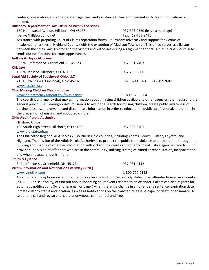centers, prosecutors, and other related agencies, and assistance to law enforcement with death notifications as

<span id="page-20-0"></span>

| needed.                                                                                                              |                                                                                                                           |
|----------------------------------------------------------------------------------------------------------------------|---------------------------------------------------------------------------------------------------------------------------|
| Hillsboro Department of Law, Office of Victim's Services                                                             |                                                                                                                           |
| 130 Homestead Avenue, Hillsboro, OH 45133                                                                            | 937-393-0520 (leave a message)                                                                                            |
| fberry@hillsboroohio.net                                                                                             | Fax: 419-755-9491                                                                                                         |
| Assistance with preparing Court of Claims reparation forms. Courtroom advocacy and support for victims of            |                                                                                                                           |
| misdemeanor crimes in Highland County (with the exception of Madison Township). This office serves as a liaison      |                                                                                                                           |
|                                                                                                                      | between the cities Law Director and the victims and witnesses during arraignment and trails in Municipal Court. Also      |
| sends out notifications for court appearances.                                                                       |                                                                                                                           |
| <b>Judkins &amp; Hayes Attorney</b>                                                                                  |                                                                                                                           |
| 303 W. Jefferson St. Greenfield OH. 45123                                                                            | 937-981-4403                                                                                                              |
| <b>Kirk Law</b>                                                                                                      |                                                                                                                           |
| 158 W Main St. Hillsboro, OH. 45133                                                                                  | 937-763-9866                                                                                                              |
| <b>Legal Aid Society of Southwest Ohio, LLC</b>                                                                      |                                                                                                                           |
| 215 E. 9th St #200 Cincinnati, Ohio 45202                                                                            | 1-513-241-9400 800-582-2682                                                                                               |
| www.lascinti.org                                                                                                     |                                                                                                                           |
| <b>Ohio Missing Children Clearinghouse</b>                                                                           |                                                                                                                           |
| www.ohioattorneygeneral.gov/missingkids                                                                              | 1-800-325-5604                                                                                                            |
|                                                                                                                      | The coordinating agency that makes information about missing children available to other agencies, the media and the      |
| general public. The Clearinghouse's mission is to aid in the search for missing children, create public awareness of |                                                                                                                           |
|                                                                                                                      | pertinent issues, and develop and disseminate information in order to educate the public, professional, and others in     |
| the prevention of missing and abducted children.                                                                     |                                                                                                                           |
| <b>Ohio Adult Parole Authority</b>                                                                                   |                                                                                                                           |
| Hillsboro Office                                                                                                     |                                                                                                                           |
| 100 South High Street, Hillsboro, OH 45133                                                                           | 937-393-8401                                                                                                              |
| www.drc.state.oh.us                                                                                                  |                                                                                                                           |
| The Chillicothe Regional APA serves 25 southern Ohio counties, including Adams, Brown, Clinton, Fayette, and         |                                                                                                                           |
|                                                                                                                      | Highland. The mission of the Adult Parole Authority is to protect the public from violence and other crime through the    |
| building and sharing of offender information with victims, the courts and other criminal justice agencies, and to    |                                                                                                                           |
|                                                                                                                      | provide supervision of offenders who are in the community, utilizing strategies aimed at rehabilitation, incapacitation,  |
| and when necessary, punishment.                                                                                      |                                                                                                                           |
| <b>Smith &amp; Quance</b>                                                                                            |                                                                                                                           |
| 344 Jefferson St. Greenfield, OH. 45123                                                                              | 937-981-4142                                                                                                              |
| <b>Victim Information and Notification Everyday (VINE)</b>                                                           |                                                                                                                           |
| www.vinelink.com                                                                                                     | 1-800-770-0192                                                                                                            |
|                                                                                                                      | An automated telephone system that permits callers to find out the custody status of an offender housed in a county       |
|                                                                                                                      | jail, ODRC or DYS facility, of find out about upcoming court events related to an offender. Callers can also register for |
|                                                                                                                      | automatic notifications (by phone, email or pager) when there is a change in an offender's sentence, expiration date,     |
|                                                                                                                      | inmate custody status and location, as well as notifications on the transfer, release, escape, or death of an inmate. All |
| telephone call and registrations are anonymous, confidential and free.                                               |                                                                                                                           |
|                                                                                                                      |                                                                                                                           |
|                                                                                                                      |                                                                                                                           |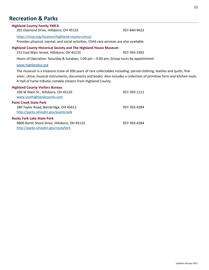## **Recreation & Parks**

<span id="page-21-0"></span>

| <b>Highland County Family YMCA</b><br>201 Diamond Drive, Hillsboro, OH 45133                                                                                                                                                                                                                                         | 937-840-9622 |
|----------------------------------------------------------------------------------------------------------------------------------------------------------------------------------------------------------------------------------------------------------------------------------------------------------------------|--------------|
| https://myy.org/location/highland-county-ymca/<br>Provides physical, mental, and social activities. Child care services are also available.                                                                                                                                                                          |              |
| <b>Highland County Historical Society and The Highland House Museum</b><br>151 East Main Street, Hillsboro, OH 45133                                                                                                                                                                                                 | 937-393-3392 |
| Hours of Operation: Saturday & Sundays, 1:00 pm - 4:00 pm; Group tours by appointment                                                                                                                                                                                                                                |              |
| www.highlandco.org                                                                                                                                                                                                                                                                                                   |              |
| The museum is a treasure trove of 200 years of rare collectables including: period clothing, textiles and quilts, fine<br>silver, china, musical instruments, documents and books. Also includes a collection of primitive farm and kitchen tools.<br>A Hall of Fame tributes notable citizens from Highland County. |              |
| <b>Highland County Visitors Bureau</b><br>338 W Main St., Hillsboro, OH 45133<br>www.visithighlandcounty.com                                                                                                                                                                                                         | 937-393-1111 |
| <b>Paint Creek State Park</b><br>280 Taylor Road, Bainbridge, OH 45612<br>http://parks.ohiodnr.gov/paintcreek                                                                                                                                                                                                        | 937-393-4284 |
| <b>Rocky Fork Lake State Park</b><br>9800 North Shore Drive, Hillsboro, OH 45133<br>http://parks.ohiodnr.gov/rockyfork                                                                                                                                                                                               | 937-393-4284 |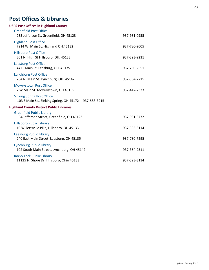# **Post Offices & Libraries**<br>USPS Post Offices in Highland County

| <b>USPS Post Offices in Highland County</b>                                                |              |
|--------------------------------------------------------------------------------------------|--------------|
| <b>Greenfield Post Office</b><br>233 Jefferson St. Greenfield, OH.45123                    | 937-981-0955 |
| <b>Highland Post Office</b><br>7914 W. Main St. Highland OH.45132                          | 937-780-9005 |
| <b>Hillsboro Post Office</b><br>301 N. High St Hillsboro, OH. 45133                        | 937-393-9231 |
| <b>Leesburg Post Office</b><br>44 E. Main St. Leesburg, OH. 45135                          | 937-780-2551 |
| <b>Lynchburg Post Office</b><br>264 N. Main St. Lynchburg, OH. 45142                       | 937-364-2715 |
| <b>Mowrystown Post Office</b><br>2 W Main St. Mowrystown, OH 45155                         | 937-442-2333 |
| <b>Sinking Spring Post Office</b><br>103 S Main St., Sinking Spring, OH 45172 937-588-3215 |              |
| <b>Highland County District Public Libraries</b>                                           |              |
| <b>Greenfield Public Library</b><br>134 Jefferson Street, Greenfield, OH 45123             | 937-981-3772 |
| <b>Hillsboro Public Library</b><br>10 Willettsville Pike, Hillsboro, OH 45133              | 937-393-3114 |
| <b>Leesburg Public Library</b><br>240 East Main Street, Leesburg, OH 45135                 | 937-780-7295 |
| <b>Lynchburg Public Library</b><br>102 South Main Street, Lynchburg, OH 45142              | 937-364-2511 |
| <b>Rocky Fork Public Library</b><br>11125 N. Shore Dr. Hillsboro, Ohio 45133               | 937-393-3114 |
|                                                                                            |              |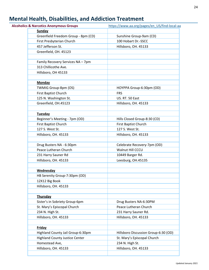# **Mental Health, Disabilities, and Addiction Treatment**

| <b>Alcoholics &amp; Narcotics Anonymous Groups</b> | https://www.aa.org/pages/en US/find-local-aa |
|----------------------------------------------------|----------------------------------------------|
| <b>Sunday</b>                                      |                                              |
| Greenfield Freedom Group - 8pm (CD)                | Sunshine Group-9am (CD)                      |
| First Presbyterian Church                          | 100 Hobart Dr.-SSCC                          |
| 457 Jefferson St.                                  | Hillsboro, OH. 45133                         |
| Greenfield, OH. 45123                              |                                              |
|                                                    |                                              |
| Family Recovery Services NA - 7pm                  |                                              |
| 313 Chillicothe Ave.                               |                                              |
| Hillsboro, OH 45133                                |                                              |
| <b>Monday</b>                                      |                                              |
| TWMIG Group-8pm (OS)                               | HOYPPA Group-6:30pm (OD)                     |
| First Baptist Church                               | <b>FRS</b>                                   |
| 125 N. Washington St.                              | US. RT. 50 East                              |
| Greenfield, OH.45123                               | Hillsboro, OH. 45133                         |
|                                                    |                                              |
| Tuesday                                            |                                              |
| Beginner's Meeting - 7pm (OD)                      | Hills Closed Group-8:30 (CD)                 |
| First Baptist Church                               | First Baptist Church                         |
| 127 S. West St.                                    | 127 S. West St.                              |
| Hillsboro, OH. 45133                               | Hillsboro, OH. 45133                         |
|                                                    |                                              |
| Drug Busters NA - 6:30pm                           | Celebrate Recovery-7pm (OD)                  |
| Peace Lutheran Church                              | Walnut Hill CCCU                             |
| 231 Harry Sauner Rd                                | 10449 Barger Rd.                             |
| Hillsboro, OH. 45133                               | Leesburg, OH.45135                           |
| Wednesday                                          |                                              |
| HB Serenity Group-7:30pm (OD)                      |                                              |
| 12X12 Big Book                                     |                                              |
| Hillsboro, OH. 45133                               |                                              |
|                                                    |                                              |
| <b>Thursday</b>                                    |                                              |
| Sister's in Sobriety Group-6pm                     | Drug Busters NA-6:30PM                       |
| St. Mary's Episcopal Church                        | Peace Lutheran Church                        |
| 234 N. High St.                                    | 231 Harry Sauner Rd.                         |
| Hillsboro, OH. 45133                               | Hillsboro, OH. 45133                         |
| Friday                                             |                                              |
| Highland County Jail Group-6:30pm                  | Hillsboro Discussion Group-6:30 (OD)         |
| <b>Highland County Justice Center</b>              | St. Mary's Episcopal Church                  |
| Homestead Ave,                                     | 234 N. High St.                              |
| Hillsboro, OH. 45133                               | Hillsboro, OH. 45133                         |
|                                                    |                                              |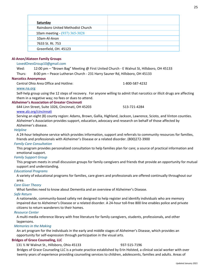| <b>Saturday</b>                   |  |
|-----------------------------------|--|
| Rainsboro United Methodist Church |  |
| 10am meeting - (937) 365-3028     |  |
| 10am-Al-Anon                      |  |
| 7633 St. Rt. 753                  |  |
| Greenfield, OH. 45123             |  |
|                                   |  |

#### **Al-Anon/Alateen Family Groups**

#### [LovedOnesGroup10@gmail.com](mailto:LovedOnesGroup10@gmail.com)

Wed: 12:00 pm - "Brown Bag" Meeting @ First United Church - E Walnut St, Hillsboro, OH 45133

Thurs: 8:00 pm – Peace Lutheran Church - 231 Harry Sauner Rd, Hillsboro, OH 45133

#### **Narcotics Anonymous**

Central Ohio Area Office and Hotline: 1-800-587-4232

#### [www.na.org](http://www.na.org/)

Self-help group using the 12 steps of recovery. For anyone willing to admit that narcotics or illicit drugs are affecting them in a negative way; no fees or dues to attend.

#### **Alzheimer's Association of Greater Cincinnati**

644 Linn Street, Suite 1026, Cincinnati, OH 45203 513-721-4284

#### [www.alz.org/cincinnati](http://www.alz.org/cincinnati)

Serving an eight (8) county region: Adams, Brown, Gallia, Highland, Jackson, Lawrence, Scioto, and Vinton counties. Alzheimer's Association provides support, education, advocacy and research on behalf of those affected by Alzheimer's disease.

#### *Helpline*

A 24-hour telephone service which provides information, support and referrals to community resources for families, friends and professionals with Alzheimer's Disease or a related disorder. (800)272-3900

#### *Family Care Consultation*

This program provides personalized consultation to help families plan for care; a source of practical information and emotional support.

#### *Family Support Group*

This program meets in small discussion groups for family caregivers and friends that provide an opportunity for mutual support and understanding.

#### *Educational Programs*

A variety of educational programs for families, care givers and professionals are offered continually throughout our area.

#### *Care Giver Theory*

What families need to know about Dementia and an overview of Alzheimer's Disease.

#### *Safe Return*

A nationwide, community-based safety net designed to help register and identify individuals who are memory impaired due to Alzheimer's Disease or a related disorder. A 24-hour toll-free 800 line enables police and private citizens to return wanderers to their homes.

#### *Resource Center*

A multi-media reference library with free literature for family caregivers, students, professionals, and other laypersons.

#### *Memories in the Making*

An art program for the individuals in the early and middle stages of Alzheimer's Disease, which provides an opportunity for self-expression through participation in the visual arts.

#### **Bridges of Grace Counseling, LLC**

#### 131 ½ W Walnut St., Hillsboro, Ohio 45133 937-515-7196

Bridges of Grace Counseling LLC is a private practice established by Erin Holsted, a clinical social worker with over twenty years of experience providing counseling services to children, adolescents, families and adults. Areas of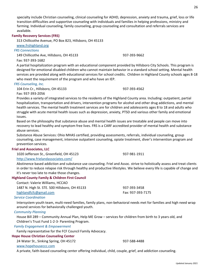specialty include Christian counseling, clinical counseling for ADHD, depression, anxiety and trauma, grief, loss or life transition difficulties and supportive counseling with individuals and families in helping professions, ministry and farming. Individual counseling, family counseling, group counseling and consultation and referrals services are available.

#### **Family Recovery Services (FRS)**

313 Chillicothe Avenue, PO Box 823, Hillsboro, OH 45133

[www.frshighland.org](http://www.frshighland.org/)

*FRS Connections*

149 Chillicothe Ave, Hillsboro, OH 45133 937-393-9662

Fax: 937-393-1682

A partial hospitalization program with an educational component provided by Hillsboro City Schools. This program is designed for emotional disabled children who cannot maintain behavior in a standard school setting. Mental health services are provided along with educational services for school credits. Children in Highland County schools ages 8-18 who meet the requirement of the program and who have an IEP.

#### *FRS Counseling, Inc.*

104 Erin Cr., Hillsboro, OH 45133 937-393-4562

Fax: 937-393-2056

Provides a variety of integrated services to the residents of the Highland County area. Including: outpatient, partial hospitalization, transportation and drivers, intervention programs for alcohol and other drug addictions, and mental health services. The mental health treatment services are for children and adolescents ages 8 to 18 and adults who struggle with acute mental health issues such as depression, anxiety, PTSD and various other family and emotional issues.

Based on the philosophy that substance abuse and mental health issues are treatable and people can move into recovery to lead healthy and symptom free lives. FRS is a CARF accredited provider of mental health and substance abuse services.

Substance Abuse Services: Ohio MHAS certified, providing assessments, referrals, individual counseling, group counseling, case management, intensive outpatient counseling, opiate treatment, diver's intervention program and prevention services.

#### **Friel and Associates, LLC**

1020 Jefferson St., Greenfield, OH 45123 937-981-1911

#### http://www.frielandassociates.com/

Abstinence based addiction and substance use counseling. Friel and Assoc. strive to holistically assess and treat clients in order to reduce relapse risk through healthy and productive lifestyles. We believe every life is capable of change and it's never too late to make those changes.

#### **Highland County Family & Children First Council**

Contact: Valerie Williams, HCCAO 1487 N. High St. STE. 500 Hillsboro, OH 45133 937-393-3458 [highlandfcfc@gmail.com](mailto:highlandfcfc@gmail.com) Fax: 937-393-7175

#### *Service Coordination*

Intersystem youth team, multi-need families, family plans, non-behavioral needs met for families and high need wrap around services for behaviorally challenged youth.

#### *Community Planning*

House Bill 289 – Community Annual Plan, Help ME Grow – services for children from birth to 3 years old, and Children's Trust Fund 1-2-3- Parenting Program.

#### *Family Engagement & Empowerment*

Family representative for the FCF Council Family Advocacy.

#### **Hope House Christian Counseling Center**

24 Water St., Sinking Spring, OH 45172 937-588-4488 www.hopehouseccc.com

A private, faith-based counseling center offering individual, child, couple, grief, and addiction counseling.

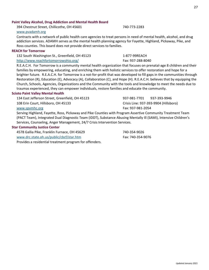#### **Paint Valley Alcohol, Drug Addiction and Mental Health Board**

394 Chestnut Street, Chillicothe, OH 45601 740-773-2283

#### [www.pvadamh.org](http://www.pvadamh.org/)

Contracts with a network of public health care agencies to treat persons in need of mental health, alcohol, and drug addiction services. ADAMH serves as the mental health planning agency for Fayette, Highland, Pickaway, Pike, and Ross counties. This board does not provide direct services to families.

#### **REACH for Tomorrow**

132 South Washington St., Greenfield, OH 45123 1-877-99REACH <http://www.reachfortomorrowohio.org/> Fax: 937-288-8040

R.E.A.C.H. For Tomorrow is a community mental health organization that focuses on prenatal-age 8 children and their families by empowering, educating, and enriching them with holistic services to offer restoration and hope for a brighter future. R.E.A.C.H. for Tomorrow is a not-for-profit that was developed to fill gaps in the communities through Restoration (R), Education (E), Advocacy (A), Collaboration (C), and Hope (H). R.E.A.C.H. believes that by equipping the Church, Schools, Agencies, Organizations and the Community with the tools and knowledge to meet the needs due to traumas experienced, they can empower individuals, restore families and educate the community.

#### **Scioto Paint Valley Mental Health**

134 East Jefferson Street, Greenfield, OH 45123 937-981-7701 937-393-9946 108 Erin Court, Hillsboro, OH 45133 Crisis Line: 937-393-9904 (Hillsboro) [www.spvmhc.org](http://www.spvmhc.org/) Fax: 937-981-2054

Serving Highland, Fayette, Ross, Pickaway and Pike Counties with Program Assertive Community Treatment Team (PACT Team), Integrated Dual Diagnostic Team (IDDT), Substance Abusing Mentally Ill (SAMI), Intensive Children's Services, Counseling, Anger Management, 24/7 Crisis Intervention Services.

#### **Star Community Justice Center**

4578 Gallia Pike, Franklin Furnace, OH 45629 740-354-9026 [www.drc.state.oh.us/public/cbcf/star.htm](http://www.drc.state.oh.us/public/cbcf/star.htm) Fax: 740-354-9076 Provides a residential treatment program for offenders.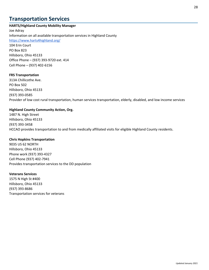## **Transportation Services**

#### **HARTS/Highland County Mobility Manager**

Joe Adray Information on all available transportation services in Highland County <https://www.harts4highland.org/> 104 Erin Court PO Box 823 Hillsboro, Ohio 45133 Office Phone – (937) 393-9720 ext. 414 Cell Phone – (937) 402-6156

#### **FRS Transportation**

313A Chillicothe Ave. PO Box 502 Hillsboro, Ohio 45133 (937) 393-0585 Provider of low cost rural transportation, human services transportation, elderly, disabled, and low income services

#### **Highland County Community Action, Org.**

1487 N. High Street Hillsboro, Ohio 45133 (937) 393-3458 HCCAO provides transportation to and from medically affiliated visits for eligible Highland County residents.

#### **Chris Hopkins Transportation**

9035 US 62 NORTH Hillsboro, Ohio 45133 Phone work (937) 393-4327 Cell Phone (937) 402-7941 Provides transportation services to the DD population

#### **Veterans Services**

1575 N High St #400 Hillsboro, Ohio 45133 (937) 393-8686 Transportation services for veterans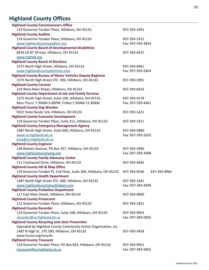# **Highland County Offices**

<span id="page-28-0"></span>

| <b>Highland County Commissioners Office</b>                        |                              |
|--------------------------------------------------------------------|------------------------------|
| 119 Governor Foraker Place, Hillsboro, OH 45133                    | 937-393-1991                 |
| <b>Highland County Auditor</b>                                     |                              |
| 114 Governor Foraker Place, Hillsboro, OH 45133                    | 937-393-1915                 |
| www.highlandcountyauditor.org                                      | Fax: 937-393-3854            |
| <b>Highland County Board of Developmental Disabilities</b>         |                              |
| 8919 US RT 50 East, Hillsboro, OH 45133                            | 937-393-4237                 |
| www.highdd.org                                                     |                              |
| <b>Highland County Board of Elections</b>                          |                              |
| 1575 North High Street, Hillsboro, OH 45133                        | 937-393-9961                 |
| www.highlandcountyelections.com                                    | Fax: 937-393-5854            |
| <b>Highland County Bureau of Motor Vehicles Deputy Registrar</b>   |                              |
| 1575 North High Street STE. 500, Hillsboro, OH 45133               | 937-393-3991                 |
| <b>Highland County Coroner</b>                                     |                              |
| 219 West Main Street, Hillsboro, OH 45133                          | 937-393-6633                 |
| <b>Highland County Department of Job and Family Services</b>       |                              |
| 1575 North High Street, Suite 100, Hillsboro, OH 45133             | 937-393-4278                 |
| Mon-Thurs: 7:30AM-5:00PM, Friday 7:30AM-11:30AM                    | Fax: 937-393-4461            |
| <b>Highland County Dog Warden</b>                                  |                              |
| 9357 State Route 124, Hillsboro, OH 45133                          | 937-393-1421                 |
| <b>Highland County Economic Development</b>                        |                              |
| 119 Governor Foraker Place, Suite 211, Hillsboro, OH 45133         | 937-393-1911                 |
| <b>Highland County Emergency Management Agency</b>                 |                              |
| 1487 North High Street, Suite 600, Hillsboro, OH 45133             | 937-393-5880                 |
| www.co.highland.oh.us                                              | Fax: 937-393-2655            |
| ema@co.highland.oh.us                                              |                              |
| <b>Highland County Engineer</b>                                    |                              |
| 138 Bowers Avenue, PO Box 297, Hillsboro, OH 45133                 | 937-393-3496                 |
| www.highlandcountyeng.org                                          | Fax: 937-393-3498            |
| <b>Highland County Family Advocacy Center</b>                      |                              |
| 111 Crestwood Drive, Hillsboro, OH 45133                           | 937-393-4642                 |
| <b>Highland County GIS &amp; Map Office</b>                        |                              |
| 119 Governor Foraker Pl, 2nd Floor, Suite 206, Hillsboro, OH 45133 | 937-393-9546<br>937-393-9964 |
| <b>Highland County Health Department</b>                           |                              |
| 1487 North High Street STE. 400, Hillsboro, OH 45133               | 937-393-1941                 |
| www.highlandcountyhealthdept.com                                   | Fax: 937-393-4694            |
| <b>Highland County Probation Department</b>                        |                              |
| 117 East Main Street, Hillsboro, OH 45133                          | 937-393-0840                 |
| <b>Highland County Prosecutor</b>                                  |                              |
| 112 Governor Foraker Place, Hillsboro, OH 45133                    | 937-393-1851                 |
| <b>Highland County Recorder</b>                                    |                              |
| 119 Governor Foraker Place, Suite 108, Hillsboro, OH 45133         | 937-393-9954                 |
| recorder@co.highland.oh.us                                         | Fax: 937-393-5855            |
| <b>Highland County Recycling and Litter Prevention</b>             |                              |
| Operated by Highland County Community Action Organization, Inc     |                              |
| 1487 N High St., STE 500, Hillsboro, OH 45133                      | 937-393-3458                 |
| www.hccao.org/recycle                                              |                              |
| <b>Highland County Treasurer</b>                                   |                              |
| 119 Governor Foraker Place, PO Box 824, Hillsboro, OH 45133        | 937-393-9951                 |
| treasurer@co.highland.oh.us                                        | Fax: 937-393-5855            |
|                                                                    |                              |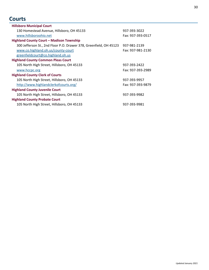## **Courts**

<span id="page-29-0"></span>

| <b>Hillsboro Municipal Court</b>                                   |                   |
|--------------------------------------------------------------------|-------------------|
| 130 Homestead Avenue, Hillsboro, OH 45133                          | 937-393-3022      |
| www.hillsboroohio.net                                              | Fax: 937-393-0517 |
| Highland County Court - Madison Township                           |                   |
| 300 Jefferson St., 2nd Floor P.O. Drawer 378, Greenfield, OH 45123 | 937-981-2139      |
| www.co.highland.oh.us/county-court                                 | Fax: 937-981-2130 |
| greenfieldcourt@co.highland.oh.us                                  |                   |
| <b>Highland County Common Pleas Court</b>                          |                   |
| 105 North High Street, Hillsboro, OH 45133                         | 937-393-2422      |
| www.hccpc.org                                                      | Fax: 937-393-2989 |
| <b>Highland County Clerk of Courts</b>                             |                   |
| 105 North High Street, Hillsboro, OH 45133                         | 937-393-9957      |
| http://www.highlandclerkofcourts.org/                              | Fax: 937-393-9879 |
| <b>Highland County Juvenile Court</b>                              |                   |
| 105 North High Street, Hillsboro, OH 45133                         | 937-393-9982      |
| <b>Highland County Probate Court</b>                               |                   |
| 105 North High Street, Hillsboro, OH 45133                         | 937-393-9981      |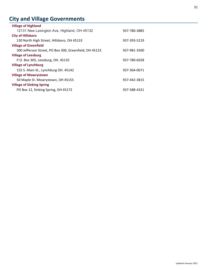# **City and Village Governments**

| <b>Village of Highland</b>                             |              |
|--------------------------------------------------------|--------------|
| 12131 New Lexington Ave, Highland, OH 45132            | 937-780-3885 |
| <b>City of Hillsboro</b>                               |              |
| 130 North High Street, Hillsboro, OH 45133             | 937-393-5219 |
| <b>Village of Greenfield</b>                           |              |
| 300 Jefferson Street, PO Box 300, Greenfield, OH 45123 | 937-981-3500 |
| <b>Village of Leesburg</b>                             |              |
| P.O. Box 305, Leesburg, OH. 45135                      | 937-780-6928 |
| <b>Village of Lynchburg</b>                            |              |
| 155 S. Main St., Lynchburg OH. 45142                   | 937-364-0071 |
| <b>Village of Mowrystown</b>                           |              |
| 50 Maple St. Mowrystown, OH 45155                      | 937-442-3815 |
| <b>Village of Sinking Spring</b>                       |              |
| PO Box 12, Sinking Spring, OH 45172                    | 937-588-4321 |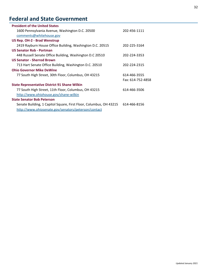# <span id="page-31-0"></span>**Federal and State Government**

| <b>President of the United States</b>                              |                   |
|--------------------------------------------------------------------|-------------------|
| 1600 Pennsylvania Avenue, Washington D.C. 20500                    | 202-456-1111      |
| comments@whitehouse.gov                                            |                   |
| <b>US Rep. OH-2 - Brad Wenstrup</b>                                |                   |
| 2419 Rayburn House Office Building, Washington D.C. 20515          | 202-225-3164      |
| <b>US Senator Rob - Portman</b>                                    |                   |
| 448 Russell Senate Office Building, Washington D.C 20510           | 202-224-3353      |
| <b>US Senator - Sherrod Brown</b>                                  |                   |
| 713 Hart Senate Office Building, Washington D.C. 20510             | 202-224-2315      |
| <b>Ohio Governor Mike DeWine</b>                                   |                   |
| 77 South High Street, 30th Floor, Columbus, OH 43215               | 614-466-3555      |
|                                                                    | Fax: 614-752-4858 |
| <b>State Representative District 91 Shane Wilkin</b>               |                   |
| 77 South High Street, 11th Floor, Columbus, OH 43215               | 614-466-3506      |
| http://www.ohiohouse.gov/shane-wilkin                              |                   |
| <b>State Senator Bob Peterson</b>                                  |                   |
| Senate Building, 1 Capitol Square, First Floor, Columbus, OH 43215 | 614-466-8156      |
| http://www.ohiosenate.gov/senators/peterson/contact                |                   |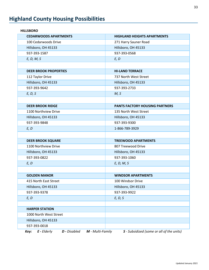# <span id="page-32-0"></span>**Highland County Housing Possibilities**

| <b>CEDARWOODS APARTMENTS</b>                                     | <b>HIGHLAND HEIGHTS APARTMENTS</b>        |
|------------------------------------------------------------------|-------------------------------------------|
| 100 Cedarwoods Drive                                             | 271 Harry Sauner Road                     |
| Hillsboro, OH 45133                                              | Hillsboro, OH 45133                       |
| 937-393-1587                                                     | 937-393-0568                              |
| E, D, M, S                                                       | E, D                                      |
|                                                                  |                                           |
| <b>DEER BROOK PROPERTIES</b>                                     | <b>HI-LAND TERRACE</b>                    |
| 112 Taylor Drive                                                 | 737 North West Street                     |
| Hillsboro, OH 45133                                              | Hillsboro, OH 45133                       |
| 937-393-9642                                                     | 937-393-2733                              |
| E, D, S                                                          | M, S                                      |
|                                                                  |                                           |
| <b>DEER BROOK RIDGE</b>                                          | <b>PANTS FACTORY HOUSING PARTNERS</b>     |
| 1100 Northview Drive                                             | 135 North West Street                     |
| Hillsboro, OH 45133                                              | Hillsboro, OH 45133                       |
| 937-393-9848                                                     | 937-393-9300                              |
| E, D                                                             | 1-866-789-3929                            |
|                                                                  |                                           |
| <b>DEER BROOK SQUARE</b>                                         | <b>TREEWOOD APARTMENTS</b>                |
| 1100 Northview Drive                                             | 807 Treewood Drive                        |
| Hillsboro, OH 45133                                              | Hillsboro, OH 45133                       |
| 937-393-0822                                                     | 937-393-1060                              |
| E, D                                                             | E, D, M, S                                |
|                                                                  |                                           |
| <b>GOLDEN MANOR</b>                                              | <b>WINDSOR APARTMENTS</b>                 |
| 415 North East Street                                            | 100 Windsor Drive                         |
| Hillsboro, OH 45133                                              | Hillsboro, OH 45133                       |
| 937-393-9378                                                     | 937-393-9922                              |
| E, D                                                             | E, D, S                                   |
|                                                                  |                                           |
| <b>HARPER STATION</b>                                            |                                           |
| 1000 North West Street                                           |                                           |
| Hillsboro, OH 45133                                              |                                           |
| 937-393-0018                                                     |                                           |
| $E$ - Elderly<br><b>D</b> - Disabled<br>M - Multi-Family<br>Key: | S - Subsidized (some or all of the units) |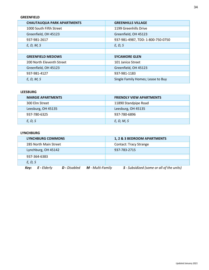#### **GREENFIELD**

| <b>CHAUTAUQUA PARK APARTMENTS</b> | <b>GREENHILLS VILLAGE</b>         |
|-----------------------------------|-----------------------------------|
| 1000 South Fifth Street           | 1199 Greenhills Drive             |
| Greenfield, OH 45123              | Greenfield, OH 45123              |
| 937-981-2617                      | 937-981-4987, TDD: 1-800-750-0750 |
| E, D, M, S                        | E, D, S                           |
|                                   |                                   |
| <b>GREENFIELD MEDOWS</b>          | <b>SYCAMORE GLEN</b>              |
| 200 North Eleventh Street         | 101 Janice Street                 |
| Greenfield, OH 45123              | Greenfield, OH 45123              |
| 937-981-4127                      | 937-981-1183                      |
| E, D, M, S                        | Single Family Homes; Lease to Buy |

#### **LEESBURG**

| <b>MARGIE APARTMENTS</b> | <b>FRIENDLY VIEW APARTMENTS</b> |
|--------------------------|---------------------------------|
| 300 Elm Street           | 11890 Standpipe Road            |
| Leesburg, OH 45135       | Leesburg, OH 45135              |
| 937-780-6325             | 937-780-6896                    |
| E, D, S                  | E, D, M, S                      |

#### **LYNCHBURG**

|              | <b>LYNCHBURG COMMONS</b> |                     |                         | 1, 2 & 3 BEDROOM APARTMENTS                      |
|--------------|--------------------------|---------------------|-------------------------|--------------------------------------------------|
|              | 285 North Main Street    |                     |                         | <b>Contact: Tracy Strange</b>                    |
|              | Lynchburg, OH 45142      |                     |                         | 937-783-2715                                     |
| 937-364-6383 |                          |                     |                         |                                                  |
| E, D, S      |                          |                     |                         |                                                  |
| Key:         | <b>E</b> - Elderly       | <b>D</b> - Disabled | <b>M</b> - Multi-Family | <b>S</b> - Subsidized (some or all of the units) |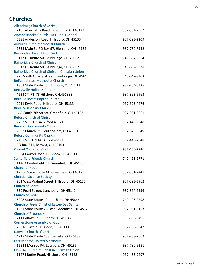## <span id="page-34-0"></span>**Churches**

| <b>Allensburg Church of Christ</b>                                  |              |
|---------------------------------------------------------------------|--------------|
| 7105 Abernathy Road, Lynchburg, OH 45142                            | 937-364-2962 |
| Anchor Baptist Church - At Dunn's Chapel                            |              |
| 5381 Anderson Road, Hillsboro, OH 45133                             | 937-393-2209 |
| <b>Auburn United Methodist Church</b>                               |              |
| 7834 Main St, PO Box 97, Highland, OH 45132                         | 937-780-7942 |
| <b>Bainbridge Assembly of God</b>                                   |              |
| 5173 US Route 50, Bainbridge, OH 45612                              | 740-634-2064 |
| <b>Bainbridge Church of Christ</b>                                  |              |
| 3812 US Route 50, Bainbridge, OH 45612                              | 740-634-3928 |
| Bainbridge Church of Christ in Christian Union                      |              |
| 220 South Quarry Street, Bainbridge, OH 45612                       | 740-649-3403 |
| <b>Belfast United Methodist Church</b>                              |              |
| 1862 State Route 73, Hillsboro, OH 45133                            | 937-764-0435 |
| <b>Berrysville Holiness Church</b>                                  |              |
| 4234 ST, RT, 73 Hillsboro OH.451333                                 | 937-393-9963 |
| <b>Bible Believers Baptist Church</b>                               |              |
| 7011 Ervin Road, Hillsboro, OH 45133                                | 937-393-4476 |
| <b>Bible Missionary Church</b>                                      |              |
| 665 South 7th Street, Greenfield, OH 45123                          | 937-981-3661 |
| <b>Buford Church of Christ</b>                                      |              |
| 2457 ST. RT. 134 Buford 45171                                       | 937-446-2848 |
| <b>Buckskin Community Church</b>                                    |              |
| 2862 Church St., South Salem, OH 45681                              | 937-876-5049 |
| <b>Buford Community Church</b>                                      |              |
| 2457 ST.RT. 134, Buford 45171                                       | 937-446-2848 |
| PO Box 711, Batavia, OH 45103                                       |              |
| <b>Carmel Church of God</b>                                         | 937-466-2746 |
| 5554 Carmel Road, Hillsboro, OH 45133                               |              |
| <b>Centerfield Friends Church</b>                                   | 740-463-6771 |
| 11403 Centerfield Rd. Greenfield, OH 45123                          |              |
| <b>Chapel of Hope</b><br>12986 State Route 41, Greenfield, OH 45123 | 937-981-2441 |
| <b>Christian Science Society</b>                                    |              |
| 201 West Walnut Street, Hillsboro, OH 45133                         | 937-393-3962 |
| <b>Church of Christ</b>                                             |              |
| 330 Pearl Street, Lynchburg, OH 45142                               | 937-364-6336 |
| <b>Church of God</b>                                                |              |
| 6008 State Route 124, Latham, OH 45646                              | 740-493-2298 |
| Church of Jesus Christ of Latter-Day Saints                         |              |
| 1281 State Route 28 East, Greenfield, OH 45123                      | 937-981-9153 |
| <b>Church of Prophecy</b>                                           |              |
| 211 Belfast Rd, Hillsboro OH. 45133                                 | 513-899-3495 |
| <b>Cornerstone Assembly of God</b>                                  |              |
| 203 N. East St Hillsboro, OH 45133                                  | 937-393-8547 |
| <b>Danville Church of Christ</b>                                    |              |
| 4917 State Route 138, Danville, OH 45133                            | 937-288-2662 |
| <b>East Monroe United Methodist</b>                                 |              |
| 12524 Monroe Rd. Leesburg OH. 45135                                 | 937-780-9381 |
| Elmville Church of Christ in Christian Union                        |              |
| 11474 Butler Road, Hillsboro, OH 45133                              | 937-466-9497 |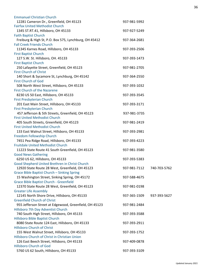| <b>Emmanuel Christian Church</b>                       |              |              |
|--------------------------------------------------------|--------------|--------------|
| 12281 Cameron Dr., Greenfield, OH 45123                | 937-981-5992 |              |
| <b>Fairfax United Methodist Church</b>                 |              |              |
| 1345 ST.RT.41, Hillsboro, OH 45133                     | 937-927-5249 |              |
| <b>Faith Baptist Church</b>                            |              |              |
| Freiburg & High St, P.O. Box 575, Lynchburg, OH 45412  | 937-364-2681 |              |
| <b>Fall Creek Friends Church</b>                       |              |              |
| 11345 Karnes Road, Hillsboro, OH 45133                 | 937-393-2506 |              |
| <b>First Baptist Church</b>                            |              |              |
| 127 S.W. St. Hillsboro, OH. 45133                      | 937-393-1473 |              |
| <b>First Baptist Church</b>                            |              |              |
| 250 Lafayette Street, Greenfield, OH 45123             | 937-981-2705 |              |
| <b>First Church of Christ</b>                          |              |              |
| 140 Short & Sycamore St, Lynchburg, OH 45142           | 937-364-2550 |              |
| <b>First Church of God</b>                             |              |              |
| 508 North West Street, Hillsboro, OH 45133             | 937-393-1032 |              |
| <b>First Church of the Nazarene</b>                    |              |              |
| 8230 US 50 East, Hillsboro, OH 45133                   | 937-393-3545 |              |
| <b>First Presbyterian Church</b>                       |              |              |
| 201 East Main Street, Hillsboro, OH 45133              | 937-393-3171 |              |
| <b>First Presbyterian Church</b>                       |              |              |
| 457 Jefferson & 5th Streets, Greenfield, OH 45123      | 937-981-3735 |              |
| <b>First United Methodist Church</b>                   |              |              |
| 405 South Streets, Greenfield, OH 45123                | 937-981-2419 |              |
| <b>First United Methodist Church</b>                   |              |              |
| 133 East Walnut Street, Hillsboro, OH 45133            | 937-393-2981 |              |
| Freedom Fellowship Church                              |              |              |
| 7451 Pea Ridge Road, Hillsboro, OH 45133               | 937-393-4223 |              |
| <b>Fruitdale United Methodist Church</b>               |              |              |
| 11223 State Route 41 South Greenfield, OH 45123        | 937-981-3580 |              |
| <b>Good News Gathering</b>                             |              |              |
| 6250 US 62, Hillsboro, OH 45133                        | 937-393-5383 |              |
| Good Shepherd United Brethren in Christ Church         |              |              |
| 12920 State Route 28 West, Greenfield, OH 45123        | 937-981-7112 | 740-703-5762 |
| Grace Bible Baptist Church - Sinking Spring            |              |              |
| 15 Washington Street, Sinking Spring, OH 45172         | 937-588-4675 |              |
| <b>Grace Bible Baptist Church - Greenfield</b>         |              |              |
| 12370 State Route 28 West, Greenfield, OH 45123        | 937-981-0198 |              |
| <b>Greater Life Assembly</b>                           |              |              |
| 12145 North Shore Drive, Hillsboro, OH 45133           | 937-365-1509 | 937-393-5627 |
| <b>Greenfield Church of Christ</b>                     |              |              |
| 955 Jefferson Street at Edgewood, Greenfield, OH 45123 | 937-981-2484 |              |
| Hillsboro 7th Day Adventist Church                     |              |              |
| 740 South High Street, Hillsboro, OH 45133             | 937-393-3588 |              |
| Hillsboro Bible Baptist Church                         |              |              |
| 8080 State Route 124 East, Hillsboro, OH 45133         | 937-393-2911 |              |
| <b>Hillsboro Church of Christ</b>                      |              |              |
| 155 West Walnut Street, Hillsboro, OH 45133            | 937-393-1752 |              |
| Hillsboro Church of Christ in Christian Union          |              |              |
| 126 East Beech Street, Hillsboro, OH 45133             | 937-409-0878 |              |
| <b>Hillsboro Church of God</b>                         |              |              |
| 5760 US 62 South, Hillsboro, OH 45133                  | 937-393-3109 |              |
|                                                        |              |              |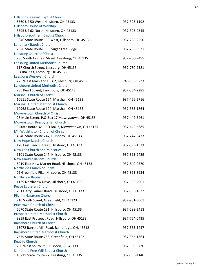| <b>Hillsboro Freewill Baptist Church</b>                                     |              |
|------------------------------------------------------------------------------|--------------|
| 6360 US 50 West, Hillsboro, OH 45133                                         | 937-393-1192 |
| <b>Hillsboro House of Worship</b>                                            |              |
| 8395 US 62 North, Hillsboro, OH 45133                                        | 937-393-2345 |
| Hillsboro Southern Baptist Church                                            |              |
| 5846 State Route 138 West, Hillsboro, OH 45133                               | 937-288-2250 |
| Landmark Baptist Church                                                      |              |
| 2326 State Route 136, Sugar Tree Ridge                                       | 937-268-9931 |
| Leesburg Church of Christ                                                    |              |
| 236 South Fairfield Street, Leesburg, OH 45135                               | 937-780-9495 |
| Leesburg United Methodist Church                                             |              |
| 117 Church Street, Leesburg, OH 45135                                        | 937-780-9381 |
| PO Box 333, Leesburg, OH 45135                                               |              |
| Leesburg Wesleyan Church                                                     |              |
| 225 West Main and US 62, Leesburg, OH 45135                                  | 740-335-9233 |
| <b>Lynchburg United Methodist Church</b>                                     |              |
| 285 Pearl Street, Lynchburg, OH 45142                                        | 937-364-2285 |
| <b>Marshall Church of Christ</b>                                             |              |
| 10611 State Route 124, Marshall, OH 45133                                    | 937-466-2716 |
| <b>Marshall United Methodist Church</b>                                      |              |
| 10968 State Route 124, Marshall, OH 45133                                    | 937-365-1864 |
| Mowrystown Church of Christ                                                  |              |
| 28 Main Street, P.O.Box 17 Mowrystown, OH 45155                              | 937-442-3461 |
| Mowrystown Presbyterian Church                                               |              |
| 3 State Route 321, PO Box 2, Mowrystown, OH 45155                            | 937-442-5685 |
| Mt. Washington Church of Christ                                              |              |
| 4540 State Route 247, Hillsboro, OH 45133                                    | 937-244-3473 |
| <b>New Hope Baptist Church</b>                                               |              |
| 128 East Beech Street, Hillsboro, OH 45133                                   | 937-393-1523 |
| <b>New Life Church and Ministries</b>                                        |              |
| 6101 State Route 247, Hillsboro, OH 45133                                    | 937-393-2429 |
| <b>New Market Baptist Church</b>                                             |              |
| 5919 East New Market Road, Hillsboro, OH 45133                               | 937-840-0570 |
| Northside Church of Christ                                                   |              |
| 25 Greenfield Pike, Hillsboro, OH 45133                                      | 937-393-3634 |
| <b>Northview Baptist (SBC)</b>                                               |              |
| 1139 Northview Drive, Hillsboro, OH 45133<br><b>Peace Lutheran Church</b>    | 937-393-2961 |
|                                                                              |              |
| 231 Harry Sauner Road, Hillsboro, OH 45133<br><b>Pilgrim Nazarene Church</b> | 937-393-1837 |
| 910 South Street, Greenfield, OH 45123                                       | 937-981-3061 |
| <b>Pricetown Church of Christ</b>                                            |              |
| 2070 State Route 131, Hillsboro, OH 45133                                    | 937-288-2418 |
| <b>Prospect United Methodist Church</b>                                      |              |
| 8859 East Prospect Road, Hillsboro, OH 45133                                 | 937-764-0435 |
| <b>Rainsboro Church of Christ</b>                                            |              |
| 13072 Barrett Mill Road, Bainbridge, OH. 45612                               | 937-365-1447 |
| <b>Rainsboro United Methodist Church</b>                                     |              |
| 7579 State Route 753, Greenfield, OH 45123                                   | 937-365-1864 |
| <b>ReaLife Church</b>                                                        |              |
| 230 West South St., Hillsboro, OH 45133                                      | 937-509-3730 |
| Samantha Free Will Baptist Church                                            |              |
| 10211 State Route 72, Leesburg, OH 45135                                     | 937-393-4140 |
|                                                                              |              |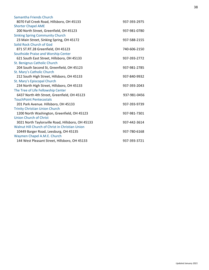| Samantha Friends Church                           |              |
|---------------------------------------------------|--------------|
| 8070 Fall Creek Road, Hillsboro, OH 45133         | 937-393-2975 |
| <b>Shorter Chapel AME</b>                         |              |
| 200 North Street, Greenfield, OH 45123            | 937-981-0780 |
| <b>Sinking Spring Community Church</b>            |              |
| 23 Main Street, Sinking Spring, OH 45172          | 937-588-2155 |
| Solid Rock Church of God                          |              |
| 871 ST.RT.28 Greenfield, OH 45123                 | 740-606-2150 |
| Southside Praise and Worship Center               |              |
| 621 South East Street, Hillsboro, OH 45133        | 937-393-2772 |
| St. Benignus Catholic Church                      |              |
| 204 South Second St, Greenfield, OH 45123         | 937-981-2785 |
| St. Mary's Catholic Church                        |              |
| 212 South High Street, Hillsboro, OH 45133        | 937-840-9932 |
| St. Mary's Episcopal Church                       |              |
| 234 North High Street, Hillsboro, OH 45133        | 937-393-2043 |
| The Tree of Life Fellowship Center                |              |
| 6437 North 4th Street, Greenfield, OH 45123       | 937-981-0456 |
| <b>TouchPoint Pentecostals</b>                    |              |
| 201 Park Avenue. Hillsboro, OH 45133              | 937-393-9739 |
| <b>Trinity Christian Union Church</b>             |              |
| 1200 North Washington, Greenfield, OH 45123       | 937-981-7301 |
| <b>Union Church of Christ</b>                     |              |
| 3021 North Taylorsville Road, Hillsboro, OH 45133 | 937-442-3614 |
| Walnut Hill Church of Christ in Christian Union   |              |
| 10449 Barger Road, Leesburg, OH 45135             | 937-780-6168 |
| Waymen Chapel A.M.E. Church                       |              |
| 144 West Pleasant Street, Hillsboro, OH 45133     | 937-393-3721 |